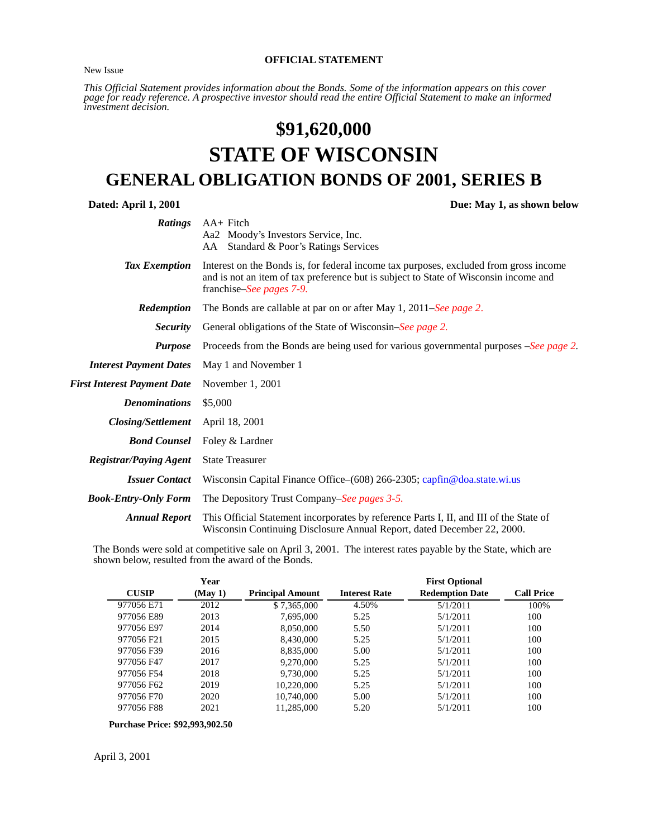New Issue

#### **OFFICIAL STATEMENT**

*This Official Statement provides information about the Bonds. Some of the information appears on this cover page for ready reference. A prospective investor should read the entire Official Statement to make an informed investment decision.*

# **\$91,620,000 STATE OF WISCONSIN GENERAL OBLIGATION BONDS OF 2001, SERIES B**

**Dated: April 1, 2001 Due: May 1, as shown below** 

<span id="page-0-0"></span>

| <b>Ratings</b>                     | $AA+$ Fitch<br>Aa2 Moody's Investors Service, Inc.<br>Standard & Poor's Ratings Services<br>AA.                                                                                                                   |
|------------------------------------|-------------------------------------------------------------------------------------------------------------------------------------------------------------------------------------------------------------------|
| Tax Exemption                      | Interest on the Bonds is, for federal income tax purposes, excluded from gross income<br>and is not an item of tax preference but is subject to State of Wisconsin income and<br>franchise– <i>See pages</i> 7-9. |
| Redemption                         | The Bonds are callable at par on or after May 1, 2011–See page 2.                                                                                                                                                 |
| <i>Security</i>                    | General obligations of the State of Wisconsin–See page 2.                                                                                                                                                         |
| <b>Purpose</b>                     | Proceeds from the Bonds are being used for various governmental purposes –See page 2.                                                                                                                             |
| <b>Interest Payment Dates</b>      | May 1 and November 1                                                                                                                                                                                              |
| <b>First Interest Payment Date</b> | November 1, 2001                                                                                                                                                                                                  |
| <b>Denominations</b>               | \$5,000                                                                                                                                                                                                           |
| <b>Closing/Settlement</b>          | April 18, 2001                                                                                                                                                                                                    |
| <b>Bond Counsel</b>                | Foley & Lardner                                                                                                                                                                                                   |
| <b>Registrar/Paying Agent</b>      | <b>State Treasurer</b>                                                                                                                                                                                            |
| <b>Issuer Contact</b>              | Wisconsin Capital Finance Office– $(608)$ 266-2305; capfin@doa.state.wi.us                                                                                                                                        |
| <b>Book-Entry-Only Form</b>        | The Depository Trust Company–See pages 3-5.                                                                                                                                                                       |
| <b>Annual Report</b>               | This Official Statement incorporates by reference Parts I, II, and III of the State of<br>Wisconsin Continuing Disclosure Annual Report, dated December 22, 2000.                                                 |

The Bonds were sold at competitive sale on April 3, 2001. The interest rates payable by the State, which are shown below, resulted from the award of the Bonds.

|              | Year   |                         |                      | <b>First Optional</b>  |                   |
|--------------|--------|-------------------------|----------------------|------------------------|-------------------|
| <b>CUSIP</b> | (May1) | <b>Principal Amount</b> | <b>Interest Rate</b> | <b>Redemption Date</b> | <b>Call Price</b> |
| 977056 E71   | 2012   | \$7,365,000             | 4.50%                | 5/1/2011               | 100%              |
| 977056 E89   | 2013   | 7,695,000               | 5.25                 | 5/1/2011               | 100               |
| 977056 E97   | 2014   | 8,050,000               | 5.50                 | 5/1/2011               | 100               |
| 977056 F21   | 2015   | 8,430,000               | 5.25                 | 5/1/2011               | 100               |
| 977056 F39   | 2016   | 8,835,000               | 5.00                 | 5/1/2011               | 100               |
| 977056 F47   | 2017   | 9,270,000               | 5.25                 | 5/1/2011               | 100               |
| 977056 F54   | 2018   | 9,730,000               | 5.25                 | 5/1/2011               | 100               |
| 977056 F62   | 2019   | 10,220,000              | 5.25                 | 5/1/2011               | 100               |
| 977056 F70   | 2020   | 10.740,000              | 5.00                 | 5/1/2011               | 100               |
| 977056 F88   | 2021   | 11,285,000              | 5.20                 | 5/1/2011               | 100               |

**Purchase Price: \$92,993,902.50**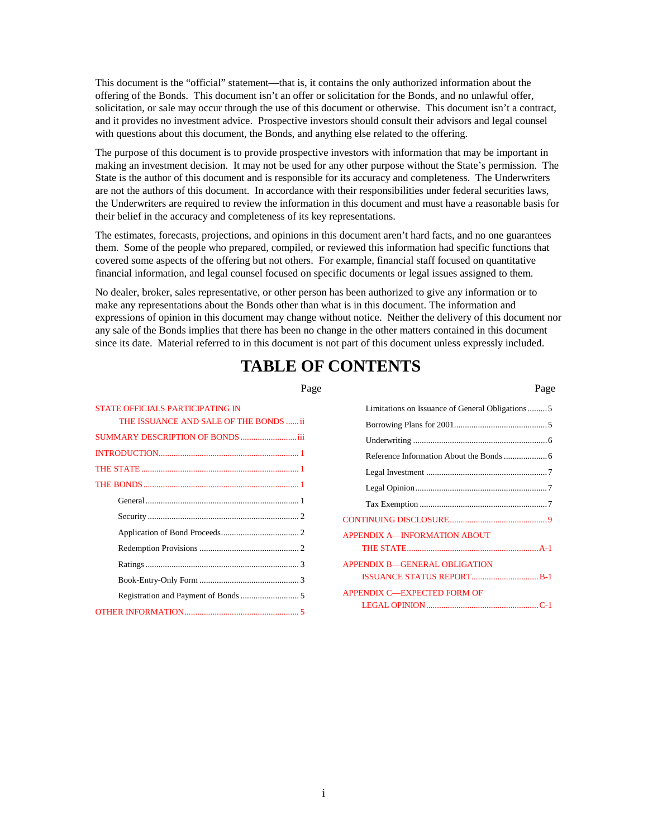This document is the "official" statement—that is, it contains the only authorized information about the offering of the Bonds. This document isn't an offer or solicitation for the Bonds, and no unlawful offer, solicitation, or sale may occur through the use of this document or otherwise. This document isn't a contract, and it provides no investment advice. Prospective investors should consult their advisors and legal counsel with questions about this document, the Bonds, and anything else related to the offering.

The purpose of this document is to provide prospective investors with information that may be important in making an investment decision. It may not be used for any other purpose without the State's permission. The State is the author of this document and is responsible for its accuracy and completeness. The Underwriters are not the authors of this document. In accordance with their responsibilities under federal securities laws, the Underwriters are required to review the information in this document and must have a reasonable basis for their belief in the accuracy and completeness of its key representations.

The estimates, forecasts, projections, and opinions in this document aren't hard facts, and no one guarantees them. Some of the people who prepared, compiled, or reviewed this information had specific functions that covered some aspects of the offering but not others. For example, financial staff focused on quantitative financial information, and legal counsel focused on specific documents or legal issues assigned to them.

No dealer, broker, sales representative, or other person has been authorized to give any information or to make any representations about the Bonds other than what is in this document. The information and expressions of opinion in this document may change without notice. Neither the delivery of this document nor any sale of the Bonds implies that there has been no change in the other matters contained in this document since its date. Material referred to in this document is not part of this document unless expressly included.

# **TABLE OF CONTENTS**

| Page | Page |
|------|------|
|      |      |

| Limitations on Issuance of General Obligations5 |  |
|-------------------------------------------------|--|
|                                                 |  |
|                                                 |  |
|                                                 |  |
|                                                 |  |
|                                                 |  |
|                                                 |  |
|                                                 |  |
| <b>APPENDIX A-INFORMATION ABOUT</b>             |  |
|                                                 |  |
| <b>APPENDIX B-GENERAL OBLIGATION</b>            |  |
|                                                 |  |
| <b>APPENDIX C-EXPECTED FORM OF</b>              |  |
|                                                 |  |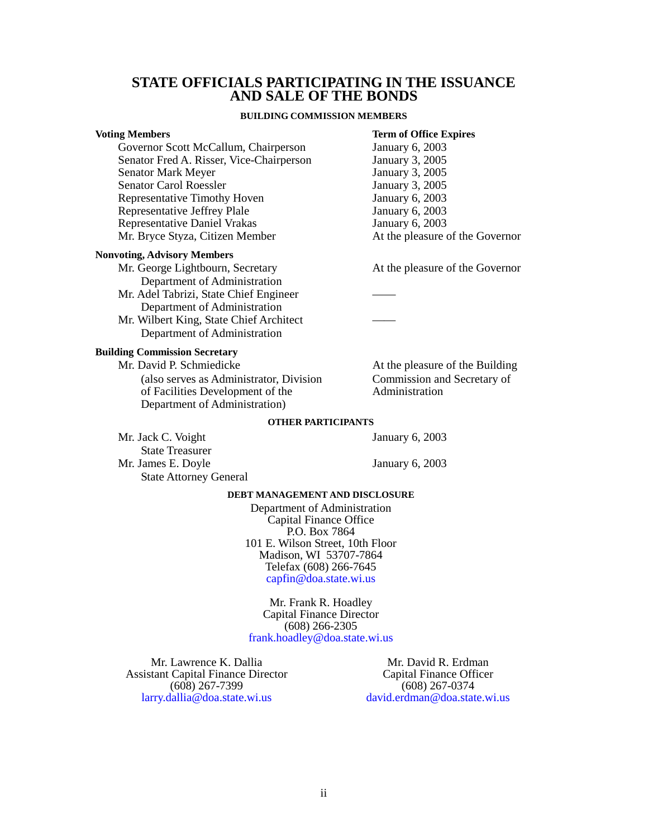#### **STATE OFFICIALS PARTICIPATING IN THE ISSUANCE AND SALE OF THE BONDS**

#### **BUILDING COMMISSION MEMBERS**

#### <span id="page-2-0"></span>**Voting Members** Term of Office Expires

Governor Scott McCallum, Chairperson January 6, 2003 Senator Fred A. Risser, Vice-Chairperson<br>Senator Mark Meyer January 3, 2005 Senator Mark Meyer Senator Carol Roessler<br>
Representative Timothy Hoven<br>
January 6, 2003 Representative Timothy Hoven<br>Representative Jeffrey Plale<br>January 6, 2003 Representative Jeffrey Plale January 6, 2003<br>
Representative Daniel Vrakas<br>
January 6, 2003 Representative Daniel Vrakas Mr. Bryce Styza, Citizen Member At the pleasure of the Governor

#### **Nonvoting, Advisory Members**

Mr. George Lightbourn, Secretary At the pleasure of the Governor Department of Administration

- Mr. Adel Tabrizi, State Chief Engineer Department of Administration
- Mr. Wilbert King, State Chief Architect Department of Administration

#### **Building Commission Secretary**

Mr. David P. Schmiedicke At the pleasure of the Building (also serves as Administrator, Division Commission and Secretary of of Facilities Development of the Administration of Facilities Development of the Department of Administration)

#### **OTHER PARTICIPANTS**

Mr. Jack C. Voight January 6, 2003 State Treasurer Mr. James E. Doyle January 6, 2003 State Attorney General

#### **DEBT MANAGEMENT AND DISCLOSURE**

Department of Administration Capital Finance Office P.O. Box 7864 101 E. Wilson Street, 10th Floor Madison, WI 53707-7864 Telefax (608) 266-7645 [capfin@doa.state.wi.us](mailto: DOACapitalFinanceOffice@wisconsin.gov)

Mr. Frank R. Hoadley Capital Finance Director (608) 266-2305 [frank.hoadley@doa.state.wi.us](mailto: DOACapitalFinanceOffice@wisconsin.gov)

Mr. Lawrence K. Dallia Assistant Capital Finance Director (608) 267-7399 [larry.dallia@doa.state.wi.us](mailto: DOACapitalFinanceOffice@wisconsin.gov)

Mr. David R. Erdman Capital Finance Officer (608) 267-0374 [david.erdman@doa.state.wi.us](mailto: DOACapitalFinanceOffice@wisconsin.gov)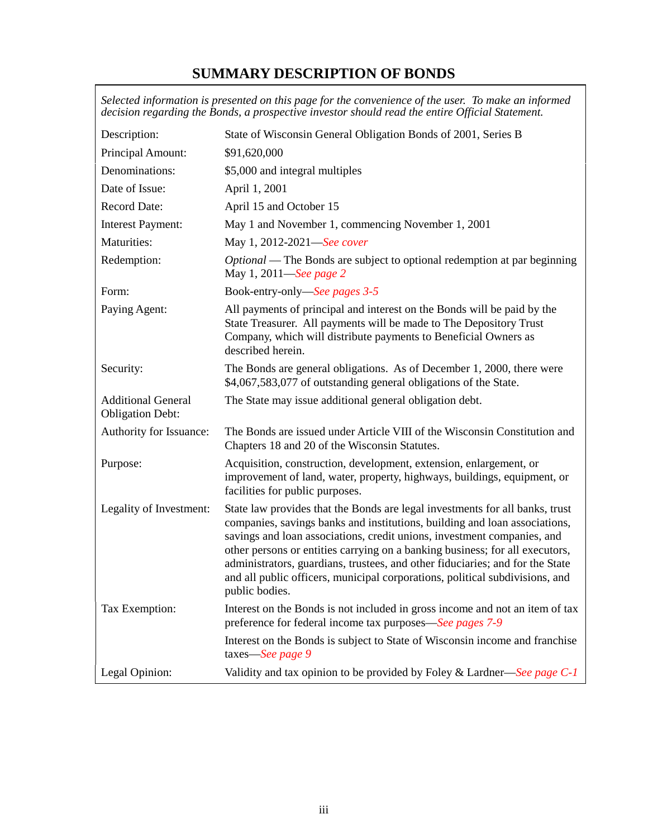# **SUMMARY DESCRIPTION OF BONDS**

<span id="page-3-0"></span>

|                                                      | Selected information is presented on this page for the convenience of the user. To make an informed<br>decision regarding the Bonds, a prospective investor should read the entire Official Statement.                                                                                                                                                                                                                                                                                                   |
|------------------------------------------------------|----------------------------------------------------------------------------------------------------------------------------------------------------------------------------------------------------------------------------------------------------------------------------------------------------------------------------------------------------------------------------------------------------------------------------------------------------------------------------------------------------------|
| Description:                                         | State of Wisconsin General Obligation Bonds of 2001, Series B                                                                                                                                                                                                                                                                                                                                                                                                                                            |
| Principal Amount:                                    | \$91,620,000                                                                                                                                                                                                                                                                                                                                                                                                                                                                                             |
| Denominations:                                       | \$5,000 and integral multiples                                                                                                                                                                                                                                                                                                                                                                                                                                                                           |
| Date of Issue:                                       | April 1, 2001                                                                                                                                                                                                                                                                                                                                                                                                                                                                                            |
| <b>Record Date:</b>                                  | April 15 and October 15                                                                                                                                                                                                                                                                                                                                                                                                                                                                                  |
| <b>Interest Payment:</b>                             | May 1 and November 1, commencing November 1, 2001                                                                                                                                                                                                                                                                                                                                                                                                                                                        |
| Maturities:                                          | May 1, 2012-2021-See cover                                                                                                                                                                                                                                                                                                                                                                                                                                                                               |
| Redemption:                                          | <i>Optional</i> — The Bonds are subject to optional redemption at par beginning<br>May 1, 2011—See page 2                                                                                                                                                                                                                                                                                                                                                                                                |
| Form:                                                | Book-entry-only-See pages 3-5                                                                                                                                                                                                                                                                                                                                                                                                                                                                            |
| Paying Agent:                                        | All payments of principal and interest on the Bonds will be paid by the<br>State Treasurer. All payments will be made to The Depository Trust<br>Company, which will distribute payments to Beneficial Owners as<br>described herein.                                                                                                                                                                                                                                                                    |
| Security:                                            | The Bonds are general obligations. As of December 1, 2000, there were<br>\$4,067,583,077 of outstanding general obligations of the State.                                                                                                                                                                                                                                                                                                                                                                |
| <b>Additional General</b><br><b>Obligation Debt:</b> | The State may issue additional general obligation debt.                                                                                                                                                                                                                                                                                                                                                                                                                                                  |
| Authority for Issuance:                              | The Bonds are issued under Article VIII of the Wisconsin Constitution and<br>Chapters 18 and 20 of the Wisconsin Statutes.                                                                                                                                                                                                                                                                                                                                                                               |
| Purpose:                                             | Acquisition, construction, development, extension, enlargement, or<br>improvement of land, water, property, highways, buildings, equipment, or<br>facilities for public purposes.                                                                                                                                                                                                                                                                                                                        |
| Legality of Investment:                              | State law provides that the Bonds are legal investments for all banks, trust<br>companies, savings banks and institutions, building and loan associations,<br>savings and loan associations, credit unions, investment companies, and<br>other persons or entities carrying on a banking business; for all executors,<br>administrators, guardians, trustees, and other fiduciaries; and for the State<br>and all public officers, municipal corporations, political subdivisions, and<br>public bodies. |
| Tax Exemption:                                       | Interest on the Bonds is not included in gross income and not an item of tax<br>preference for federal income tax purposes—See pages 7-9                                                                                                                                                                                                                                                                                                                                                                 |
|                                                      | Interest on the Bonds is subject to State of Wisconsin income and franchise<br>taxes-See page 9                                                                                                                                                                                                                                                                                                                                                                                                          |
| Legal Opinion:                                       | Validity and tax opinion to be provided by Foley & Lardner—See page $C-1$                                                                                                                                                                                                                                                                                                                                                                                                                                |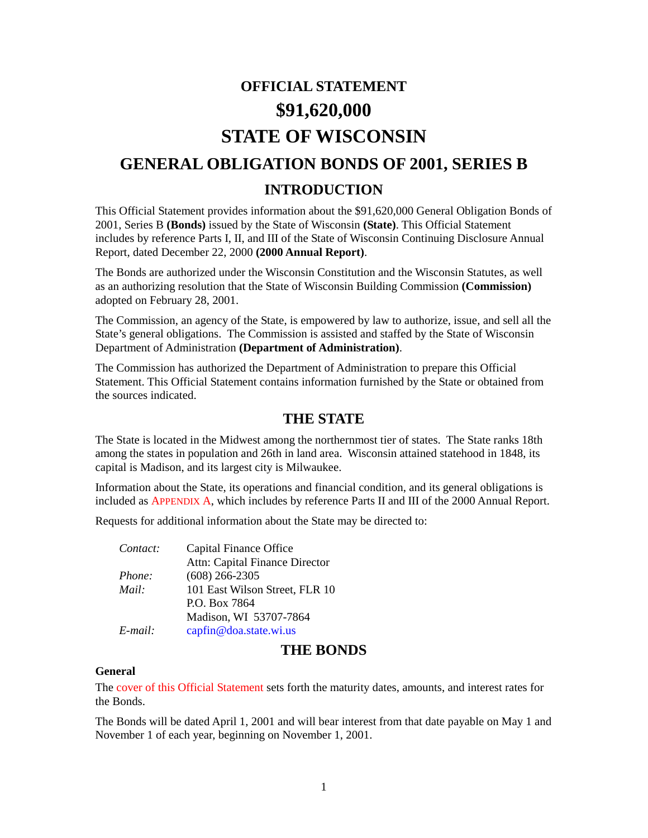# **OFFICIAL STATEMENT \$91,620,000 STATE OF WISCONSIN GENERAL OBLIGATION BONDS OF 2001, SERIES B INTRODUCTION**

<span id="page-4-0"></span>This Official Statement provides information about the \$91,620,000 General Obligation Bonds of 2001, Series B **(Bonds)** issued by the State of Wisconsin **(State)**. This Official Statement includes by reference Parts I, II, and III of the State of Wisconsin Continuing Disclosure Annual Report, dated December 22, 2000 **(2000 Annual Report)**.

The Bonds are authorized under the Wisconsin Constitution and the Wisconsin Statutes, as well as an authorizing resolution that the State of Wisconsin Building Commission **(Commission)** adopted on February 28, 2001.

<span id="page-4-1"></span>The Commission, an agency of the State, is empowered by law to authorize, issue, and sell all the State's general obligations. The Commission is assisted and staffed by the State of Wisconsin Department of Administration **(Department of Administration)**.

The Commission has authorized the Department of Administration to prepare this Official Statement. This Official Statement contains information furnished by the State or obtained from the sources indicated.

### **THE STATE**

The State is located in the Midwest among the northernmost tier of states. The State ranks 18th among the states in population and 26th in land area. Wisconsin attained statehood in 1848, its capital is Madison, and its largest city is Milwaukee.

Information about the State, its operations and financial condition, and its general obligations is included a[s APPENDIX A, w](#page-14-0)hich includes by reference Parts II and III of the 2000 Annual Report.

Requests for additional information about the State may be directed to:

| Contact:   | Capital Finance Office         |
|------------|--------------------------------|
|            | Attn: Capital Finance Director |
| Phone:     | $(608)$ 266-2305               |
| Mail:      | 101 East Wilson Street, FLR 10 |
|            | P.O. Box 7864                  |
|            | Madison, WI 53707-7864         |
| $E$ -mail: | capfin@doa.state.wi.us         |

#### **THE BONDS**

#### **General**

Th[e cover of this Official Statement se](#page-0-0)ts forth the maturity dates, amounts, and interest rates for the Bonds.

The Bonds will be dated April 1, 2001 and will bear interest from that date payable on May 1 and November 1 of each year, beginning on November 1, 2001.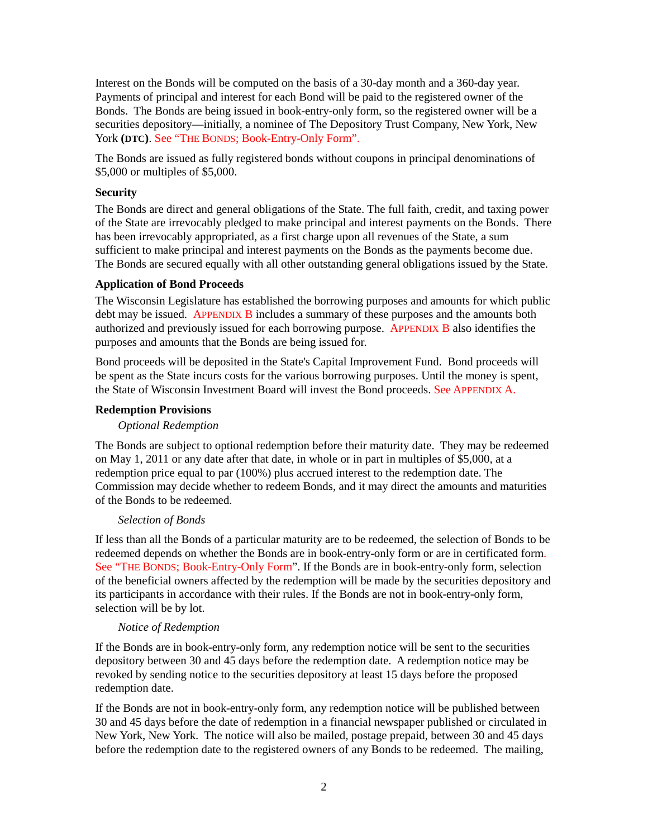Interest on the Bonds will be computed on the basis of a 30-day month and a 360-day year. Payments of principal and interest for each Bond will be paid to the registered owner of the Bonds. The Bonds are being issued in book-entry-only form, so the registered owner will be a securities depository—initially, a nominee of The Depository Trust Company, New York, New York **(DTC)**[. See "THE BONDS; Book-Entry-Only Form".](#page-6-0)

<span id="page-5-0"></span>The Bonds are issued as fully registered bonds without coupons in principal denominations of \$5,000 or multiples of \$5,000.

#### **Security**

The Bonds are direct and general obligations of the State. The full faith, credit, and taxing power of the State are irrevocably pledged to make principal and interest payments on the Bonds. There has been irrevocably appropriated, as a first charge upon all revenues of the State, a sum sufficient to make principal and interest payments on the Bonds as the payments become due. The Bonds are secured equally with all other outstanding general obligations issued by the State.

#### <span id="page-5-2"></span>**Application of Bond Proceeds**

<span id="page-5-1"></span>The Wisconsin Legislature has established the borrowing purposes and amounts for which public debt may be issued[. APPENDIX B in](#page-19-0)cludes a summary of these purposes and the amounts both authorized and previously issued for each borrowing purpose. [APPENDIX B a](#page-19-0)lso identifies the purposes and amounts that the Bonds are being issued for.

Bond proceeds will be deposited in the State's Capital Improvement Fund. Bond proceeds will be spent as the State incurs costs for the various borrowing purposes. Until the money is spent, the State of Wisconsin Investment Board will invest the Bond proceeds[. See APPENDIX A.](#page-14-0)

#### **Redemption Provisions**

#### *Optional Redemption*

The Bonds are subject to optional redemption before their maturity date. They may be redeemed on May 1, 2011 or any date after that date, in whole or in part in multiples of \$5,000, at a redemption price equal to par (100%) plus accrued interest to the redemption date. The Commission may decide whether to redeem Bonds, and it may direct the amounts and maturities of the Bonds to be redeemed.

#### *Selection of Bonds*

If less than all the Bonds of a particular maturity are to be redeemed, the selection of Bonds to be redeemed depends on whether the Bonds are in book-entry-only form or are in certificated form. [See "THE BONDS; Book-Entry-Only Form".](#page-6-0) If the Bonds are in book-entry-only form, selection of the beneficial owners affected by the redemption will be made by the securities depository and its participants in accordance with their rules. If the Bonds are not in book-entry-only form, selection will be by lot.

#### *Notice of Redemption*

If the Bonds are in book-entry-only form, any redemption notice will be sent to the securities depository between 30 and 45 days before the redemption date. A redemption notice may be revoked by sending notice to the securities depository at least 15 days before the proposed redemption date.

If the Bonds are not in book-entry-only form, any redemption notice will be published between 30 and 45 days before the date of redemption in a financial newspaper published or circulated in New York, New York. The notice will also be mailed, postage prepaid, between 30 and 45 days before the redemption date to the registered owners of any Bonds to be redeemed. The mailing,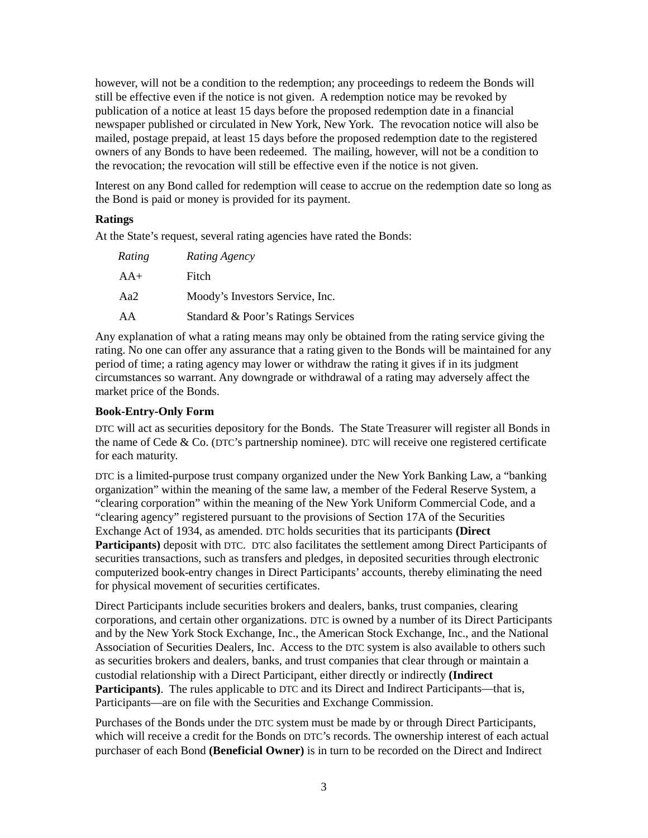however, will not be a condition to the redemption; any proceedings to redeem the Bonds will still be effective even if the notice is not given. A redemption notice may be revoked by publication of a notice at least 15 days before the proposed redemption date in a financial newspaper published or circulated in New York, New York. The revocation notice will also be mailed, postage prepaid, at least 15 days before the proposed redemption date to the registered owners of any Bonds to have been redeemed. The mailing, however, will not be a condition to the revocation; the revocation will still be effective even if the notice is not given.

Interest on any Bond called for redemption will cease to accrue on the redemption date so long as the Bond is paid or money is provided for its payment.

#### **Ratings**

At the State's request, several rating agencies have rated the Bonds:

| Rating | Rating Agency                      |
|--------|------------------------------------|
| $AA+$  | Fitch                              |
| Aa2    | Moody's Investors Service, Inc.    |
| AA     | Standard & Poor's Ratings Services |

<span id="page-6-0"></span>Any explanation of what a rating means may only be obtained from the rating service giving the rating. No one can offer any assurance that a rating given to the Bonds will be maintained for any period of time; a rating agency may lower or withdraw the rating it gives if in its judgment circumstances so warrant. Any downgrade or withdrawal of a rating may adversely affect the market price of the Bonds.

#### **Book-Entry-Only Form**

DTC will act as securities depository for the Bonds. The State Treasurer will register all Bonds in the name of Cede & Co. (DTC's partnership nominee). DTC will receive one registered certificate for each maturity.

DTC is a limited-purpose trust company organized under the New York Banking Law, a "banking organization" within the meaning of the same law, a member of the Federal Reserve System, a "clearing corporation" within the meaning of the New York Uniform Commercial Code, and a "clearing agency" registered pursuant to the provisions of Section 17A of the Securities Exchange Act of 1934, as amended. DTC holds securities that its participants **(Direct Participants)** deposit with DTC. DTC also facilitates the settlement among Direct Participants of securities transactions, such as transfers and pledges, in deposited securities through electronic computerized book-entry changes in Direct Participants' accounts, thereby eliminating the need for physical movement of securities certificates.

Direct Participants include securities brokers and dealers, banks, trust companies, clearing corporations, and certain other organizations. DTC is owned by a number of its Direct Participants and by the New York Stock Exchange, Inc., the American Stock Exchange, Inc., and the National Association of Securities Dealers, Inc. Access to the DTC system is also available to others such as securities brokers and dealers, banks, and trust companies that clear through or maintain a custodial relationship with a Direct Participant, either directly or indirectly **(Indirect Participants)**. The rules applicable to DTC and its Direct and Indirect Participants—that is, Participants—are on file with the Securities and Exchange Commission.

Purchases of the Bonds under the DTC system must be made by or through Direct Participants, which will receive a credit for the Bonds on DTC's records. The ownership interest of each actual purchaser of each Bond **(Beneficial Owner)** is in turn to be recorded on the Direct and Indirect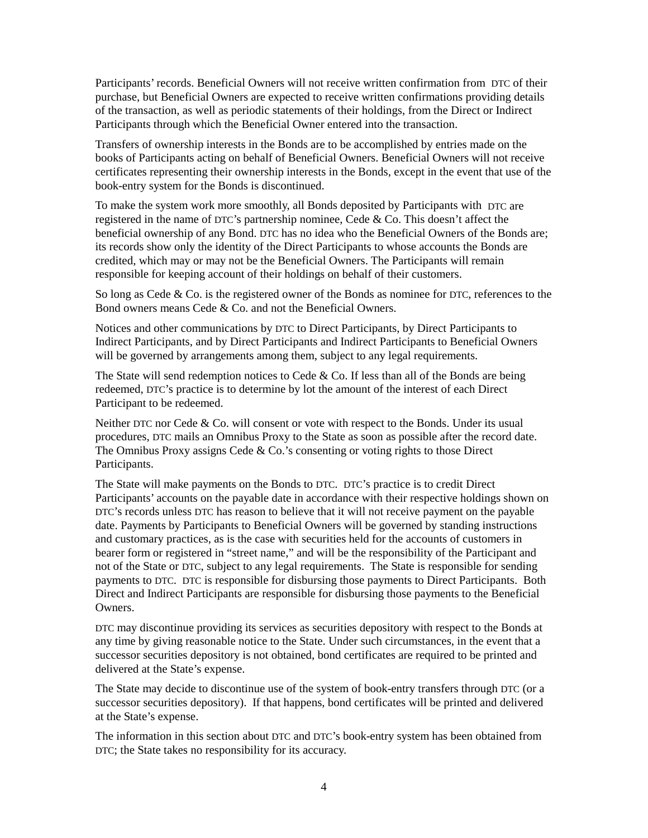Participants' records. Beneficial Owners will not receive written confirmation from DTC of their purchase, but Beneficial Owners are expected to receive written confirmations providing details of the transaction, as well as periodic statements of their holdings, from the Direct or Indirect Participants through which the Beneficial Owner entered into the transaction.

Transfers of ownership interests in the Bonds are to be accomplished by entries made on the books of Participants acting on behalf of Beneficial Owners. Beneficial Owners will not receive certificates representing their ownership interests in the Bonds, except in the event that use of the book-entry system for the Bonds is discontinued.

To make the system work more smoothly, all Bonds deposited by Participants with DTC are registered in the name of DTC's partnership nominee, Cede & Co. This doesn't affect the beneficial ownership of any Bond. DTC has no idea who the Beneficial Owners of the Bonds are; its records show only the identity of the Direct Participants to whose accounts the Bonds are credited, which may or may not be the Beneficial Owners. The Participants will remain responsible for keeping account of their holdings on behalf of their customers.

So long as Cede & Co. is the registered owner of the Bonds as nominee for DTC, references to the Bond owners means Cede & Co. and not the Beneficial Owners.

Notices and other communications by DTC to Direct Participants, by Direct Participants to Indirect Participants, and by Direct Participants and Indirect Participants to Beneficial Owners will be governed by arrangements among them, subject to any legal requirements.

The State will send redemption notices to Cede  $&$  Co. If less than all of the Bonds are being redeemed, DTC's practice is to determine by lot the amount of the interest of each Direct Participant to be redeemed.

Neither DTC nor Cede & Co. will consent or vote with respect to the Bonds. Under its usual procedures, DTC mails an Omnibus Proxy to the State as soon as possible after the record date. The Omnibus Proxy assigns Cede & Co.'s consenting or voting rights to those Direct Participants.

The State will make payments on the Bonds to DTC. DTC's practice is to credit Direct Participants' accounts on the payable date in accordance with their respective holdings shown on DTC's records unless DTC has reason to believe that it will not receive payment on the payable date. Payments by Participants to Beneficial Owners will be governed by standing instructions and customary practices, as is the case with securities held for the accounts of customers in bearer form or registered in "street name," and will be the responsibility of the Participant and not of the State or DTC, subject to any legal requirements. The State is responsible for sending payments to DTC. DTC is responsible for disbursing those payments to Direct Participants. Both Direct and Indirect Participants are responsible for disbursing those payments to the Beneficial Owners.

DTC may discontinue providing its services as securities depository with respect to the Bonds at any time by giving reasonable notice to the State. Under such circumstances, in the event that a successor securities depository is not obtained, bond certificates are required to be printed and delivered at the State's expense.

The State may decide to discontinue use of the system of book-entry transfers through DTC (or a successor securities depository). If that happens, bond certificates will be printed and delivered at the State's expense.

The information in this section about DTC and DTC's book-entry system has been obtained from DTC; the State takes no responsibility for its accuracy.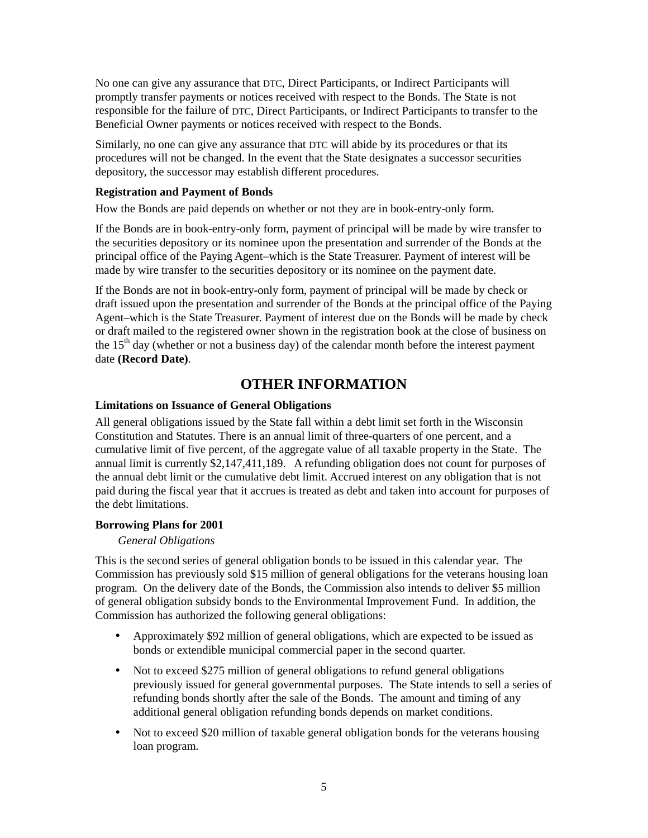No one can give any assurance that DTC, Direct Participants, or Indirect Participants will promptly transfer payments or notices received with respect to the Bonds. The State is not responsible for the failure of DTC, Direct Participants, or Indirect Participants to transfer to the Beneficial Owner payments or notices received with respect to the Bonds.

Similarly, no one can give any assurance that DTC will abide by its procedures or that its procedures will not be changed. In the event that the State designates a successor securities depository, the successor may establish different procedures.

#### **Registration and Payment of Bonds**

How the Bonds are paid depends on whether or not they are in book-entry-only form.

If the Bonds are in book-entry-only form, payment of principal will be made by wire transfer to the securities depository or its nominee upon the presentation and surrender of the Bonds at the principal office of the Paying Agent–which is the State Treasurer. Payment of interest will be made by wire transfer to the securities depository or its nominee on the payment date.

<span id="page-8-0"></span>If the Bonds are not in book-entry-only form, payment of principal will be made by check or draft issued upon the presentation and surrender of the Bonds at the principal office of the Paying Agent–which is the State Treasurer. Payment of interest due on the Bonds will be made by check or draft mailed to the registered owner shown in the registration book at the close of business on the  $15<sup>th</sup>$  day (whether or not a business day) of the calendar month before the interest payment date **(Record Date)**.

### **OTHER INFORMATION**

#### **Limitations on Issuance of General Obligations**

All general obligations issued by the State fall within a debt limit set forth in the Wisconsin Constitution and Statutes. There is an annual limit of three-quarters of one percent, and a cumulative limit of five percent, of the aggregate value of all taxable property in the State. The annual limit is currently \$2,147,411,189. A refunding obligation does not count for purposes of the annual debt limit or the cumulative debt limit. Accrued interest on any obligation that is not paid during the fiscal year that it accrues is treated as debt and taken into account for purposes of the debt limitations.

#### **Borrowing Plans for 2001**

#### *General Obligations*

This is the second series of general obligation bonds to be issued in this calendar year. The Commission has previously sold \$15 million of general obligations for the veterans housing loan program. On the delivery date of the Bonds, the Commission also intends to deliver \$5 million of general obligation subsidy bonds to the Environmental Improvement Fund. In addition, the Commission has authorized the following general obligations:

- Approximately \$92 million of general obligations, which are expected to be issued as bonds or extendible municipal commercial paper in the second quarter.
- Not to exceed \$275 million of general obligations to refund general obligations previously issued for general governmental purposes. The State intends to sell a series of refunding bonds shortly after the sale of the Bonds. The amount and timing of any additional general obligation refunding bonds depends on market conditions.
- Not to exceed \$20 million of taxable general obligation bonds for the veterans housing loan program.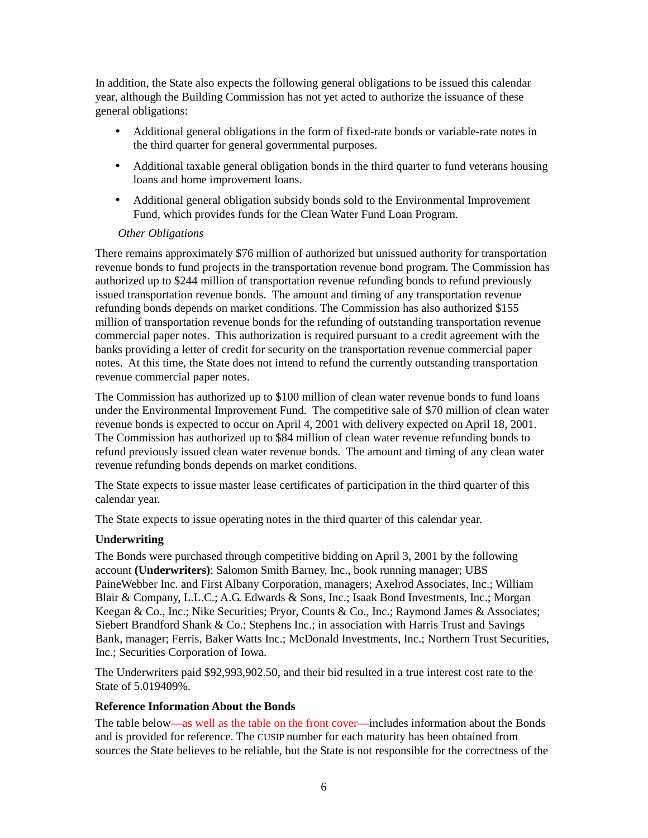In addition, the State also expects the following general obligations to be issued this calendar year, although the Building Commission has not yet acted to authorize the issuance of these general obligations:

- Additional general obligations in the form of fixed-rate bonds or variable-rate notes in the third quarter for general governmental purposes.
- Additional taxable general obligation bonds in the third quarter to fund veterans housing loans and home improvement loans.
- Additional general obligation subsidy bonds sold to the Environmental Improvement Fund, which provides funds for the Clean Water Fund Loan Program.

#### *Other Obligations*

There remains approximately \$76 million of authorized but unissued authority for transportation revenue bonds to fund projects in the transportation revenue bond program. The Commission has authorized up to \$244 million of transportation revenue refunding bonds to refund previously issued transportation revenue bonds. The amount and timing of any transportation revenue refunding bonds depends on market conditions. The Commission has also authorized \$155 million of transportation revenue bonds for the refunding of outstanding transportation revenue commercial paper notes. This authorization is required pursuant to a credit agreement with the banks providing a letter of credit for security on the transportation revenue commercial paper notes. At this time, the State does not intend to refund the currently outstanding transportation revenue commercial paper notes.

The Commission has authorized up to \$100 million of clean water revenue bonds to fund loans under the Environmental Improvement Fund. The competitive sale of \$70 million of clean water revenue bonds is expected to occur on April 4, 2001 with delivery expected on April 18, 2001. The Commission has authorized up to \$84 million of clean water revenue refunding bonds to refund previously issued clean water revenue bonds. The amount and timing of any clean water revenue refunding bonds depends on market conditions.

The State expects to issue master lease certificates of participation in the third quarter of this calendar year.

The State expects to issue operating notes in the third quarter of this calendar year.

#### **Underwriting**

The Bonds were purchased through competitive bidding on April 3, 2001 by the following account **(Underwriters)**: Salomon Smith Barney, Inc., book running manager; UBS PaineWebber Inc. and First Albany Corporation, managers; Axelrod Associates, Inc.; William Blair & Company, L.L.C.; A.G. Edwards & Sons, Inc.; Isaak Bond Investments, Inc.; Morgan Keegan & Co., Inc.; Nike Securities; Pryor, Counts & Co., Inc.; Raymond James & Associates; Siebert Brandford Shank & Co.; Stephens Inc.; in association with Harris Trust and Savings Bank, manager; Ferris, Baker Watts Inc.; McDonald Investments, Inc.; Northern Trust Securities, Inc.; Securities Corporation of Iowa.

The Underwriters paid \$92,993,902.50, and their bid resulted in a true interest cost rate to the State of 5.019409%.

#### **Reference Information About the Bonds**

The table below[—as well as the table on the front cover—in](#page-0-0)cludes information about the Bonds and is provided for reference. The CUSIP number for each maturity has been obtained from sources the State believes to be reliable, but the State is not responsible for the correctness of the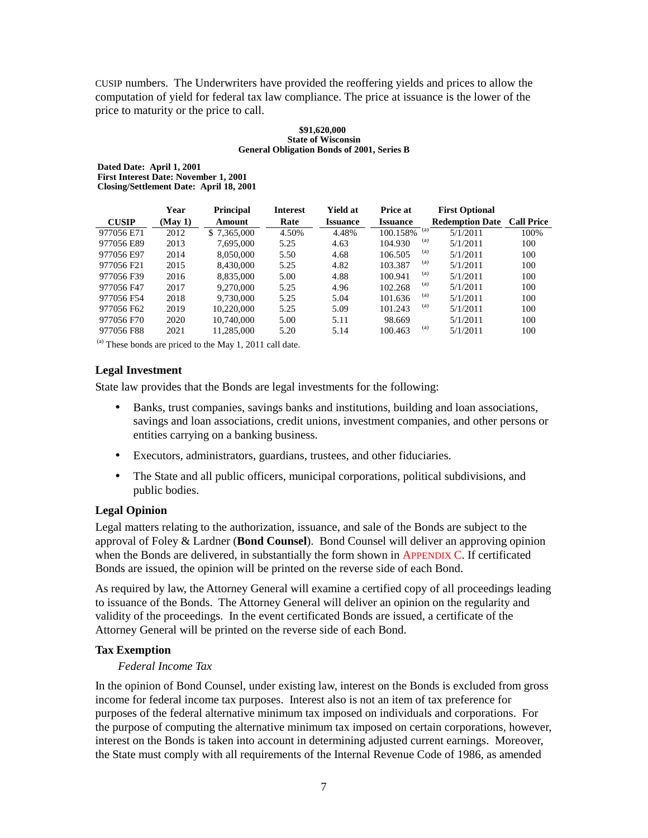CUSIP numbers. The Underwriters have provided the reoffering yields and prices to allow the computation of yield for federal tax law compliance. The price at issuance is the lower of the price to maturity or the price to call.

#### **\$91,620,000 State of Wisconsin General Obligation Bonds of 2001, Series B**

**Dated Date: April 1, 2001 First Interest Date: November 1, 2001 Closing/Settlement Date: April 18, 2001**

|                        | Year    | <b>Principal</b> | <b>Interest</b> | Yield at        | <b>Price at</b> | <b>First Optional</b>  |                   |
|------------------------|---------|------------------|-----------------|-----------------|-----------------|------------------------|-------------------|
| <b>CUSIP</b>           | (May 1) | Amount           | Rate            | <b>Issuance</b> | <b>Issuance</b> | <b>Redemption Date</b> | <b>Call Price</b> |
| 977056 E71             | 2012    | \$7.365,000      | 4.50%           | 4.48%           | 100.158%        | (a)<br>5/1/2011        | 100%              |
| 977056 E89             | 2013    | 7.695.000        | 5.25            | 4.63            | 104.930         | (a)<br>5/1/2011        | 100               |
| 977056 E97             | 2014    | 8,050,000        | 5.50            | 4.68            | 106.505         | (a)<br>5/1/2011        | 100               |
| 977056 F <sub>21</sub> | 2015    | 8.430.000        | 5.25            | 4.82            | 103.387         | (a)<br>5/1/2011        | 100               |
| 977056 F39             | 2016    | 8.835,000        | 5.00            | 4.88            | 100.941         | (a)<br>5/1/2011        | 100               |
| 977056 F47             | 2017    | 9.270.000        | 5.25            | 4.96            | 102.268         | (a)<br>5/1/2011        | 100               |
| 977056 F54             | 2018    | 9.730,000        | 5.25            | 5.04            | 101.636         | (a)<br>5/1/2011        | 100               |
| 977056 F62             | 2019    | 10.220,000       | 5.25            | 5.09            | 101.243         | (a)<br>5/1/2011        | 100               |
| 977056 F70             | 2020    | 10.740,000       | 5.00            | 5.11            | 98.669          | 5/1/2011               | 100               |
| 977056 F88             | 2021    | 11.285.000       | 5.20            | 5.14            | 100.463         | (a)<br>5/1/2011        | 100               |

<span id="page-10-0"></span> $<sup>(a)</sup>$  These bonds are priced to the May 1, 2011 call date.</sup>

#### **Legal Investment**

State law provides that the Bonds are legal investments for the following:

- Banks, trust companies, savings banks and institutions, building and loan associations, savings and loan associations, credit unions, investment companies, and other persons or entities carrying on a banking business.
- Executors, administrators, guardians, trustees, and other fiduciaries.
- The State and all public officers, municipal corporations, political subdivisions, and public bodies.

#### **Legal Opinion**

Legal matters relating to the authorization, issuance, and sale of the Bonds are subject to the approval of Foley & Lardner (**Bond Counsel**). Bond Counsel will deliver an approving opinion when the Bonds are delivered, in substantially the form shown i[n APPENDIX C. I](#page-23-0)f certificated Bonds are issued, the opinion will be printed on the reverse side of each Bond.

As required by law, the Attorney General will examine a certified copy of all proceedings leading to issuance of the Bonds. The Attorney General will deliver an opinion on the regularity and validity of the proceedings. In the event certificated Bonds are issued, a certificate of the Attorney General will be printed on the reverse side of each Bond.

#### **Tax Exemption**

#### *Federal Income Tax*

In the opinion of Bond Counsel, under existing law, interest on the Bonds is excluded from gross income for federal income tax purposes. Interest also is not an item of tax preference for purposes of the federal alternative minimum tax imposed on individuals and corporations. For the purpose of computing the alternative minimum tax imposed on certain corporations, however, interest on the Bonds is taken into account in determining adjusted current earnings. Moreover, the State must comply with all requirements of the Internal Revenue Code of 1986, as amended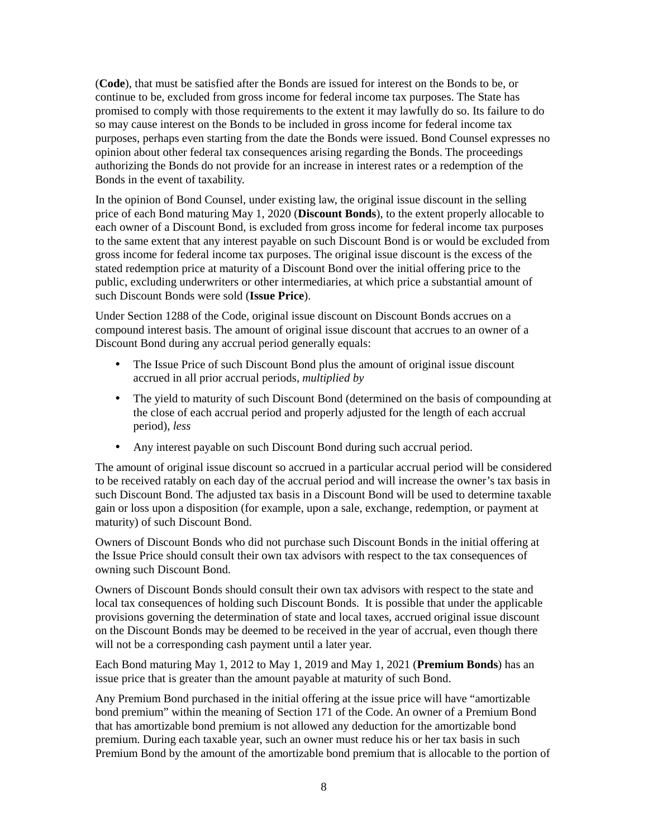(**Code**), that must be satisfied after the Bonds are issued for interest on the Bonds to be, or continue to be, excluded from gross income for federal income tax purposes. The State has promised to comply with those requirements to the extent it may lawfully do so. Its failure to do so may cause interest on the Bonds to be included in gross income for federal income tax purposes, perhaps even starting from the date the Bonds were issued. Bond Counsel expresses no opinion about other federal tax consequences arising regarding the Bonds. The proceedings authorizing the Bonds do not provide for an increase in interest rates or a redemption of the Bonds in the event of taxability.

In the opinion of Bond Counsel, under existing law, the original issue discount in the selling price of each Bond maturing May 1, 2020 (**Discount Bonds**), to the extent properly allocable to each owner of a Discount Bond, is excluded from gross income for federal income tax purposes to the same extent that any interest payable on such Discount Bond is or would be excluded from gross income for federal income tax purposes. The original issue discount is the excess of the stated redemption price at maturity of a Discount Bond over the initial offering price to the public, excluding underwriters or other intermediaries, at which price a substantial amount of such Discount Bonds were sold (**Issue Price**).

Under Section 1288 of the Code, original issue discount on Discount Bonds accrues on a compound interest basis. The amount of original issue discount that accrues to an owner of a Discount Bond during any accrual period generally equals:

- The Issue Price of such Discount Bond plus the amount of original issue discount accrued in all prior accrual periods, *multiplied by*
- The yield to maturity of such Discount Bond (determined on the basis of compounding at the close of each accrual period and properly adjusted for the length of each accrual period), *less*
- Any interest payable on such Discount Bond during such accrual period.

The amount of original issue discount so accrued in a particular accrual period will be considered to be received ratably on each day of the accrual period and will increase the owner's tax basis in such Discount Bond. The adjusted tax basis in a Discount Bond will be used to determine taxable gain or loss upon a disposition (for example, upon a sale, exchange, redemption, or payment at maturity) of such Discount Bond.

Owners of Discount Bonds who did not purchase such Discount Bonds in the initial offering at the Issue Price should consult their own tax advisors with respect to the tax consequences of owning such Discount Bond.

Owners of Discount Bonds should consult their own tax advisors with respect to the state and local tax consequences of holding such Discount Bonds. It is possible that under the applicable provisions governing the determination of state and local taxes, accrued original issue discount on the Discount Bonds may be deemed to be received in the year of accrual, even though there will not be a corresponding cash payment until a later year.

Each Bond maturing May 1, 2012 to May 1, 2019 and May 1, 2021 (**Premium Bonds**) has an issue price that is greater than the amount payable at maturity of such Bond.

Any Premium Bond purchased in the initial offering at the issue price will have "amortizable bond premium" within the meaning of Section 171 of the Code. An owner of a Premium Bond that has amortizable bond premium is not allowed any deduction for the amortizable bond premium. During each taxable year, such an owner must reduce his or her tax basis in such Premium Bond by the amount of the amortizable bond premium that is allocable to the portion of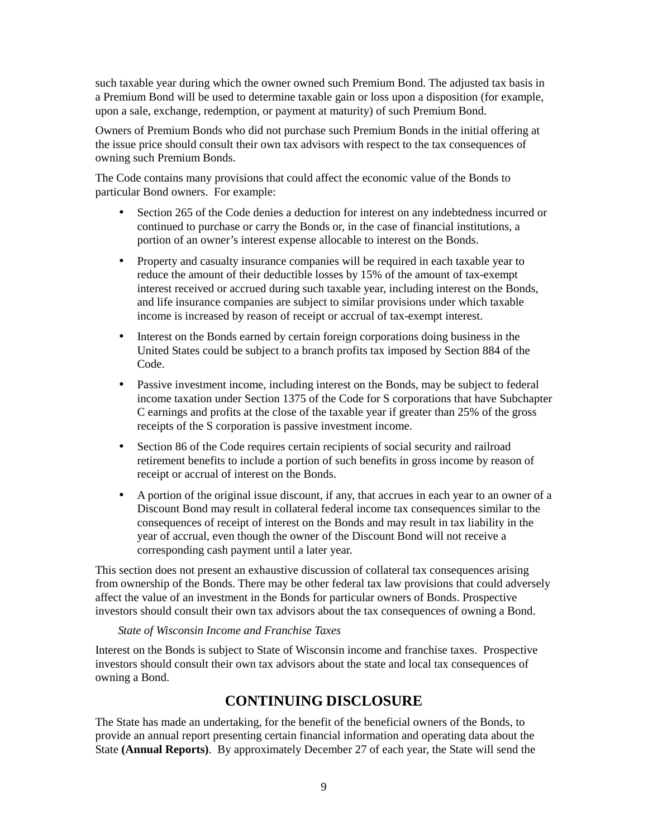such taxable year during which the owner owned such Premium Bond. The adjusted tax basis in a Premium Bond will be used to determine taxable gain or loss upon a disposition (for example, upon a sale, exchange, redemption, or payment at maturity) of such Premium Bond.

Owners of Premium Bonds who did not purchase such Premium Bonds in the initial offering at the issue price should consult their own tax advisors with respect to the tax consequences of owning such Premium Bonds.

The Code contains many provisions that could affect the economic value of the Bonds to particular Bond owners. For example:

- Section 265 of the Code denies a deduction for interest on any indebtedness incurred or continued to purchase or carry the Bonds or, in the case of financial institutions, a portion of an owner's interest expense allocable to interest on the Bonds.
- Property and casualty insurance companies will be required in each taxable year to reduce the amount of their deductible losses by 15% of the amount of tax-exempt interest received or accrued during such taxable year, including interest on the Bonds, and life insurance companies are subject to similar provisions under which taxable income is increased by reason of receipt or accrual of tax-exempt interest.
- <span id="page-12-0"></span>• Interest on the Bonds earned by certain foreign corporations doing business in the United States could be subject to a branch profits tax imposed by Section 884 of the Code.
- Passive investment income, including interest on the Bonds, may be subject to federal income taxation under Section 1375 of the Code for S corporations that have Subchapter C earnings and profits at the close of the taxable year if greater than 25% of the gross receipts of the S corporation is passive investment income.
- Section 86 of the Code requires certain recipients of social security and railroad retirement benefits to include a portion of such benefits in gross income by reason of receipt or accrual of interest on the Bonds.
- A portion of the original issue discount, if any, that accrues in each year to an owner of a Discount Bond may result in collateral federal income tax consequences similar to the consequences of receipt of interest on the Bonds and may result in tax liability in the year of accrual, even though the owner of the Discount Bond will not receive a corresponding cash payment until a later year.

This section does not present an exhaustive discussion of collateral tax consequences arising from ownership of the Bonds. There may be other federal tax law provisions that could adversely affect the value of an investment in the Bonds for particular owners of Bonds. Prospective investors should consult their own tax advisors about the tax consequences of owning a Bond.

#### *State of Wisconsin Income and Franchise Taxes*

Interest on the Bonds is subject to State of Wisconsin income and franchise taxes. Prospective investors should consult their own tax advisors about the state and local tax consequences of owning a Bond.

# **CONTINUING DISCLOSURE**

The State has made an undertaking, for the benefit of the beneficial owners of the Bonds, to provide an annual report presenting certain financial information and operating data about the State **(Annual Reports)**. By approximately December 27 of each year, the State will send the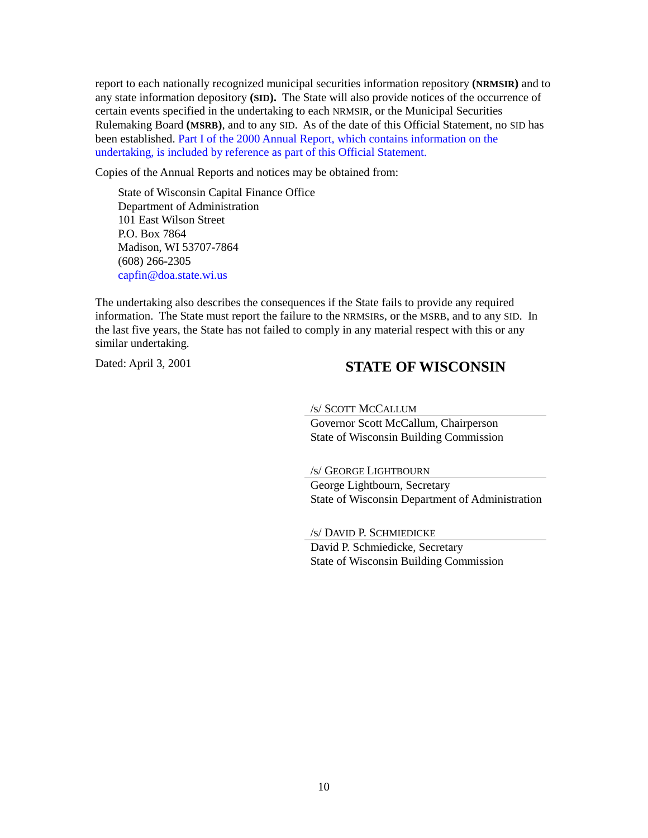report to each nationally recognized municipal securities information repository **(NRMSIR)** and to any state information depository **(SID).** The State will also provide notices of the occurrence of certain events specified in the undertaking to each NRMSIR, or the Municipal Securities Rulemaking Board **(MSRB)**, and to any SID. As of the date of this Official Statement, no SID has [been established. Part I of the 2000 Annual Report, which contains information on the](https://doa.wi.gov/DEBFCapitalFinance/2000/2000dis1.pdf) undertaking, is included by reference as part of this Official Statement.

Copies of the Annual Reports and notices may be obtained from:

State of Wisconsin Capital Finance Office Department of Administration 101 East Wilson Street P.O. Box 7864 Madison, WI 53707-7864 (608) 266-2305 [capfin@doa.state.wi.us](mailto: DOACapitalFinanceOffice@wisconsin.gov)

The undertaking also describes the consequences if the State fails to provide any required information. The State must report the failure to the NRMSIRs, or the MSRB, and to any SID. In the last five years, the State has not failed to comply in any material respect with this or any similar undertaking.

# Dated: April 3, 2001 **STATE OF WISCONSIN**

/s/ SCOTT MCCALLUM

Governor Scott McCallum, Chairperson State of Wisconsin Building Commission

/s/ GEORGE LIGHTBOURN

George Lightbourn, Secretary State of Wisconsin Department of Administration

/s/ DAVID P. SCHMIEDICKE

David P. Schmiedicke, Secretary State of Wisconsin Building Commission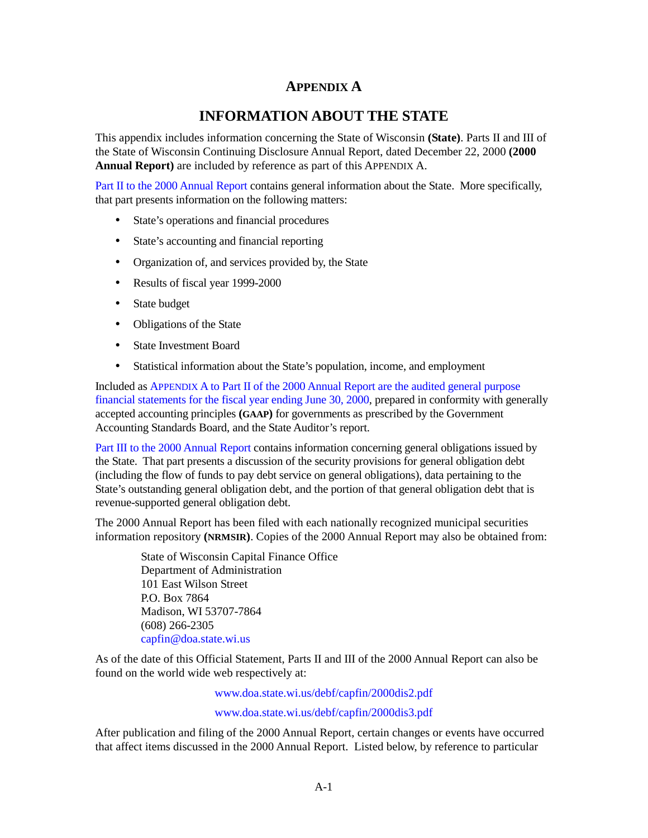## **APPENDIX A**

# **INFORMATION ABOUT THE STATE**

<span id="page-14-0"></span>This appendix includes information concerning the State of Wisconsin **(State)**. Parts II and III of the State of Wisconsin Continuing Disclosure Annual Report, dated December 22, 2000 **(2000 Annual Report)** are included by reference as part of this APPENDIX A.

[Part II to the 2000 Annual Report co](https://doa.wi.gov/DEBFCapitalFinance/2000/2000dis2.pdf)ntains general information about the State. More specifically, that part presents information on the following matters:

- State's operations and financial procedures
- State's accounting and financial reporting
- Organization of, and services provided by, the State
- Results of fiscal year 1999-2000
- State budget
- Obligations of the State
- State Investment Board
- Statistical information about the State's population, income, and employment

Included as APPENDIX A to Part II of the 2000 Annual Report are the audited general purpose [financial statements for the fiscal year ending June 30, 2000, prepared in conformity with gene](https://doa.wi.gov/DEBFCapitalFinance/2000/2000dis2.pdf)rally accepted accounting principles **(GAAP)** for governments as prescribed by the Government Accounting Standards Board, and the State Auditor's report.

[Part III to the 2000 Annual Report co](https://doa.wi.gov/DEBFCapitalFinance/2000/2000dis3.pdf)ntains information concerning general obligations issued by the State. That part presents a discussion of the security provisions for general obligation debt (including the flow of funds to pay debt service on general obligations), data pertaining to the State's outstanding general obligation debt, and the portion of that general obligation debt that is revenue-supported general obligation debt.

The 2000 Annual Report has been filed with each nationally recognized municipal securities information repository **(NRMSIR)**. Copies of the 2000 Annual Report may also be obtained from:

State of Wisconsin Capital Finance Office Department of Administration 101 East Wilson Street P.O. Box 7864 Madison, WI 53707-7864 (608) 266-2305 [capfin@doa.state.wi.us](mailto: DOACapitalFinanceOffice@wisconsin.gov)

As of the date of this Official Statement, Parts II and III of the 2000 Annual Report can also be found on the world wide web respectively at:

[www.doa.state.wi.us/debf/capfin/2000dis2.pdf](https://doa.wi.gov/DEBFCapitalFinance/2000/2000dis2.pdf)

[www.doa.state.wi.us/debf/capfin/2000dis3.pdf](https://doa.wi.gov/DEBFCapitalFinance/2000/2000dis3.pdf)

After publication and filing of the 2000 Annual Report, certain changes or events have occurred that affect items discussed in the 2000 Annual Report. Listed below, by reference to particular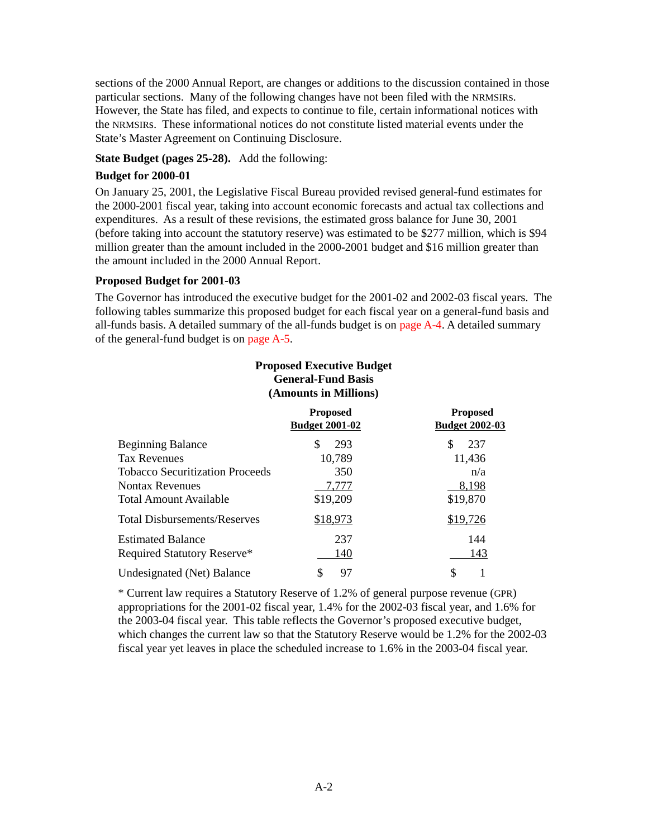sections of the 2000 Annual Report, are changes or additions to the discussion contained in those particular sections. Many of the following changes have not been filed with the NRMSIRs. However, the State has filed, and expects to continue to file, certain informational notices with the NRMSIRs. These informational notices do not constitute listed material events under the State's Master Agreement on Continuing Disclosure.

#### **State Budget (pages 25-28).** Add the following:

#### **Budget for 2000-01**

On January 25, 2001, the Legislative Fiscal Bureau provided revised general-fund estimates for the 2000-2001 fiscal year, taking into account economic forecasts and actual tax collections and expenditures. As a result of these revisions, the estimated gross balance for June 30, 2001 (before taking into account the statutory reserve) was estimated to be \$277 million, which is \$94 million greater than the amount included in the 2000-2001 budget and \$16 million greater than the amount included in the 2000 Annual Report.

#### **Proposed Budget for 2001-03**

The Governor has introduced the executive budget for the 2001-02 and 2002-03 fiscal years. The following tables summarize this proposed budget for each fiscal year on a general-fund basis and all-funds basis. A detailed summary of the all-funds budget is on page  $A-4$ . A detailed summary of the general-fund budget is [on page A-5.](#page-18-0)

#### **Proposed Executive Budget General-Fund Basis (Amounts in Millions)**

|                                        | <b>Proposed</b><br><b>Budget 2001-02</b> | <b>Proposed</b><br><b>Budget 2002-03</b> |
|----------------------------------------|------------------------------------------|------------------------------------------|
| <b>Beginning Balance</b>               | 293<br>\$                                | 237<br>\$.                               |
| <b>Tax Revenues</b>                    | 10,789                                   | 11,436                                   |
| <b>Tobacco Securitization Proceeds</b> | 350                                      | n/a                                      |
| <b>Nontax Revenues</b>                 | 7,777                                    | 8,198                                    |
| <b>Total Amount Available</b>          | \$19,209                                 | \$19,870                                 |
| <b>Total Disbursements/Reserves</b>    | \$18,973                                 | \$19,726                                 |
| <b>Estimated Balance</b>               | 237                                      | 144                                      |
| Required Statutory Reserve*            | 140                                      | 143                                      |
| Undesignated (Net) Balance             | 97                                       | \$                                       |

\* Current law requires a Statutory Reserve of 1.2% of general purpose revenue (GPR) appropriations for the 2001-02 fiscal year, 1.4% for the 2002-03 fiscal year, and 1.6% for the 2003-04 fiscal year. This table reflects the Governor's proposed executive budget, which changes the current law so that the Statutory Reserve would be 1.2% for the 2002-03 fiscal year yet leaves in place the scheduled increase to 1.6% in the 2003-04 fiscal year.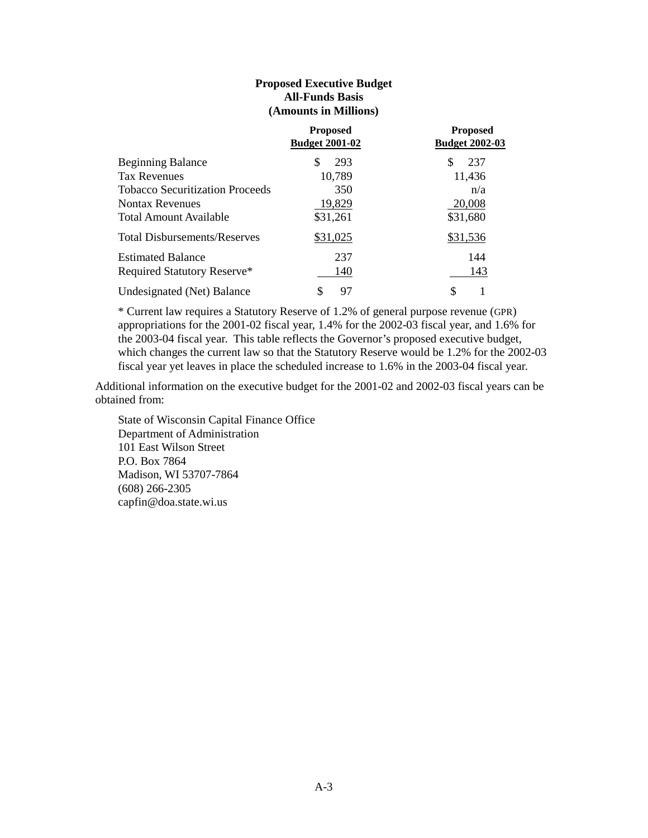#### **Proposed Executive Budget All-Funds Basis (Amounts in Millions)**

|                                        | <b>Proposed</b><br><b>Budget 2001-02</b> | <b>Proposed</b><br><b>Budget 2002-03</b> |
|----------------------------------------|------------------------------------------|------------------------------------------|
| <b>Beginning Balance</b>               | 293<br>S                                 | 237                                      |
| <b>Tax Revenues</b>                    | 10,789                                   | 11,436                                   |
| <b>Tobacco Securitization Proceeds</b> | 350                                      | n/a                                      |
| <b>Nontax Revenues</b>                 | 19,829                                   | 20,008                                   |
| Total Amount Available                 | \$31,261                                 | \$31,680                                 |
| <b>Total Disbursements/Reserves</b>    | \$31,025                                 | \$31,536                                 |
| <b>Estimated Balance</b>               | 237                                      | 144                                      |
| Required Statutory Reserve*            | 140                                      | 143                                      |
| Undesignated (Net) Balance             | 97<br>S                                  | \$                                       |

\* Current law requires a Statutory Reserve of 1.2% of general purpose revenue (GPR) appropriations for the 2001-02 fiscal year, 1.4% for the 2002-03 fiscal year, and 1.6% for the 2003-04 fiscal year. This table reflects the Governor's proposed executive budget, which changes the current law so that the Statutory Reserve would be 1.2% for the 2002-03 fiscal year yet leaves in place the scheduled increase to 1.6% in the 2003-04 fiscal year.

Additional information on the executive budget for the 2001-02 and 2002-03 fiscal years can be obtained from:

State of Wisconsin Capital Finance Office Department of Administration 101 East Wilson Street P.O. Box 7864 Madison, WI 53707-7864 (608) 266-2305 capfin@doa.state.wi.us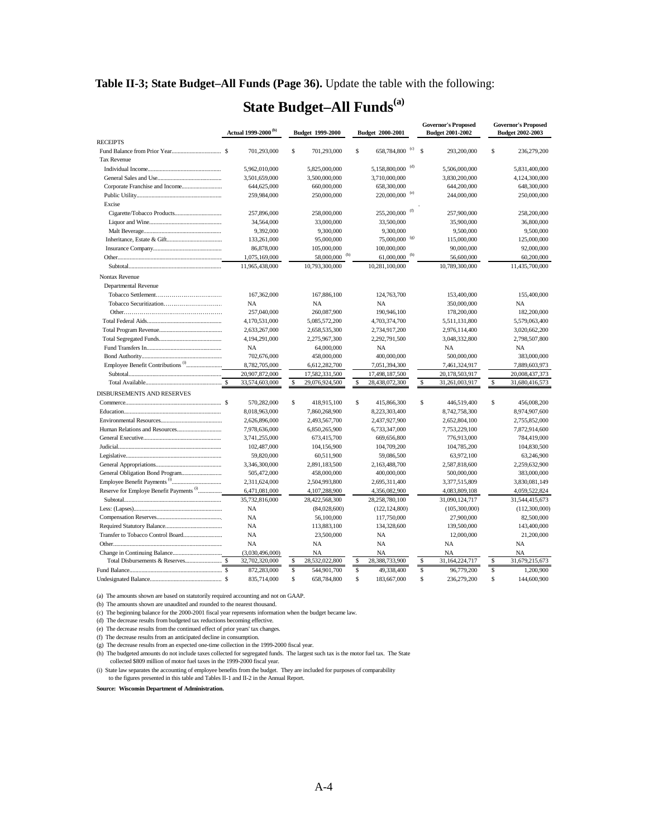<span id="page-17-0"></span>**Table II-3; State Budget–All Funds (Page 36).** Update the table with the following:

# **State Budget–All Funds(a)**

|                                                     | Actual 1999-2000 <sup>(b)</sup> |                 | Budget 1999-2000 |                           |             | Budget 2000-2001             |               | <b>Governor's Proposed</b><br><b>Budget 2001-2002</b> |               | <b>Governor's Proposed</b><br><b>Budget 2002-2003</b> |  |
|-----------------------------------------------------|---------------------------------|-----------------|------------------|---------------------------|-------------|------------------------------|---------------|-------------------------------------------------------|---------------|-------------------------------------------------------|--|
| <b>RECEIPTS</b>                                     |                                 |                 |                  |                           |             |                              |               |                                                       |               |                                                       |  |
|                                                     |                                 | 701,293,000     | \$               | 701,293,000               | \$          | 658,784,800 <sup>(c)</sup>   | $\mathcal{S}$ | 293,200,000                                           | \$            | 236,279,200                                           |  |
| <b>Tax Revenue</b>                                  |                                 |                 |                  |                           |             |                              |               |                                                       |               |                                                       |  |
|                                                     |                                 | 5,962,010,000   |                  | 5,825,000,000             |             | 5,158,800,000 <sup>(d)</sup> |               | 5,506,000,000                                         |               | 5,831,400,000                                         |  |
|                                                     |                                 | 3,501,659,000   |                  | 3,500,000,000             |             | 3,710,000,000                |               | 3,830,200,000                                         |               | 4,124,300,000                                         |  |
| Corporate Franchise and Income                      |                                 | 644,625,000     |                  | 660,000,000               |             | 658,300,000                  |               | 644,200,000                                           |               | 648,300,000                                           |  |
|                                                     |                                 | 259,984,000     |                  | 250,000,000               |             | 220,000,000 <sup>(e)</sup>   |               | 244,000,000                                           |               | 250,000,000                                           |  |
| Excise                                              |                                 |                 |                  |                           |             |                              |               |                                                       |               |                                                       |  |
|                                                     |                                 | 257,896,000     |                  | 258,000,000               |             | 255,200,000                  |               | 257,900,000                                           |               | 258,200,000                                           |  |
|                                                     |                                 | 34,564,000      |                  | 33,000,000                |             | 33,500,000                   |               | 35,900,000                                            |               | 36,800,000                                            |  |
|                                                     |                                 | 9,392,000       |                  | 9,300,000                 |             | 9,300,000                    |               | 9,500,000                                             |               | 9,500,000                                             |  |
|                                                     |                                 | 133,261,000     |                  | 95,000,000                |             | 75,000,000 (g)               |               | 115,000,000                                           |               | 125,000,000                                           |  |
|                                                     |                                 | 86,878,000      |                  | 105,000,000               |             | 100,000,000                  |               | 90,000,000                                            |               | 92,000,000                                            |  |
|                                                     |                                 | 1,075,169,000   |                  | 58,000,000 <sup>(h)</sup> |             | $61,000,000$ <sup>(h)</sup>  |               | 56,600,000                                            |               | 60,200,000                                            |  |
|                                                     |                                 | 11,965,438,000  |                  | 10,793,300,000            |             | 10,281,100,000               |               | 10,789,300,000                                        |               | 11,435,700,000                                        |  |
| Nontax Revenue                                      |                                 |                 |                  |                           |             |                              |               |                                                       |               |                                                       |  |
| Departmental Revenue                                |                                 |                 |                  |                           |             |                              |               |                                                       |               |                                                       |  |
|                                                     |                                 | 167,362,000     |                  | 167,886,100               |             | 124,763,700                  |               | 153,400,000                                           |               | 155,400,000                                           |  |
|                                                     |                                 | <b>NA</b>       |                  | <b>NA</b>                 |             | <b>NA</b>                    |               | 350,000,000                                           |               | <b>NA</b>                                             |  |
|                                                     |                                 | 257,040,000     |                  | 260,087,900               |             | 190,946,100                  |               | 178,200,000                                           |               | 182,200,000                                           |  |
|                                                     |                                 | 4,170,531,000   |                  | 5,085,572,200             |             | 4,703,374,700                |               | 5,511,131,800                                         |               | 5,579,063,400                                         |  |
|                                                     |                                 | 2,633,267,000   |                  | 2,658,535,300             |             | 2,734,917,200                |               | 2,976,114,400                                         |               | 3,020,662,200                                         |  |
|                                                     |                                 | 4,194,291,000   |                  | 2,275,967,300             |             | 2,292,791,500                |               | 3,048,332,800                                         |               | 2,798,507,800                                         |  |
|                                                     |                                 | NA              |                  | 64,000,000                |             | NA                           |               | <b>NA</b>                                             |               | NA                                                    |  |
|                                                     |                                 | 702,676,000     |                  | 458,000,000               |             | 400,000,000                  |               | 500,000,000                                           |               | 383,000,000                                           |  |
|                                                     |                                 | 8,782,705,000   |                  | 6,612,282,700             |             | 7,051,394,300                |               | 7,461,324,917                                         |               | 7,889,603,973                                         |  |
|                                                     |                                 | 20,907,872,000  |                  | 17,582,331,500            |             | 17,498,187,500               |               | 20,178,503,917                                        |               | 20,008,437,373                                        |  |
|                                                     |                                 | 33,574,603,000  | \$               | 29,076,924,500            | $\mathbf S$ | 28,438,072,300               |               | $\mathbb S$<br>31,261,003,917                         | ${\mathbb S}$ | 31,680,416,573                                        |  |
| DISBURSEMENTS AND RESERVES                          |                                 |                 |                  |                           |             |                              |               |                                                       |               |                                                       |  |
|                                                     |                                 | 570,282,000     | \$               | 418,915,100               | \$          | 415,866,300                  |               | \$<br>446,519,400                                     | \$            | 456,008,200                                           |  |
|                                                     |                                 |                 |                  |                           |             |                              |               |                                                       |               |                                                       |  |
|                                                     |                                 | 8,018,963,000   |                  | 7,860,268,900             |             | 8,223,303,400                |               | 8,742,758,300                                         |               | 8,974,907,600                                         |  |
|                                                     |                                 | 2,626,896,000   |                  | 2,493,567,700             |             | 2,437,927,900                |               | 2,652,804,100                                         |               | 2,755,852,000                                         |  |
|                                                     |                                 | 7,978,636,000   |                  | 6,850,265,900             |             | 6,733,347,000                |               | 7,753,229,100                                         |               | 7,872,914,600                                         |  |
|                                                     |                                 | 3,741,255,000   |                  | 673,415,700               |             | 669,656,800                  |               | 776,913,000                                           |               | 784,419,000                                           |  |
|                                                     |                                 | 102,487,000     |                  | 104,156,900               |             | 104,709,200                  |               | 104,785,200                                           |               | 104,830,500                                           |  |
|                                                     |                                 | 59,820,000      |                  | 60,511,900                |             | 59,086,500                   |               | 63,972,100                                            |               | 63,246,900                                            |  |
|                                                     |                                 | 3,346,300,000   |                  | 2,891,183,500             |             | 2,163,488,700                |               | 2,587,818,600                                         |               | 2,259,632,900                                         |  |
|                                                     |                                 | 505,472,000     |                  | 458,000,000               |             | 400,000,000                  |               | 500,000,000                                           |               | 383,000,000                                           |  |
| Reserve for Employe Benefit Payments <sup>(i)</sup> |                                 | 2,311,624,000   |                  | 2,504,993,800             |             | 2,695,311,400                |               | 3,377,515,809                                         |               | 3,830,081,149                                         |  |
|                                                     |                                 | 6,471,081,000   |                  | 4,107,288,900             |             | 4,356,082,900                |               | 4,083,809,108                                         |               | 4,059,522,824                                         |  |
|                                                     |                                 | 35,732,816,000  |                  | 28,422,568,300            |             | 28,258,780,100               |               | 31,090,124,717                                        |               | 31,544,415,673                                        |  |
|                                                     |                                 | NA              |                  | (84,028,600)              |             | (122, 124, 800)              |               | (105,300,000)                                         |               | (112,300,000)                                         |  |
|                                                     |                                 | NA              |                  | 56,100,000                |             | 117,750,000                  |               | 27,900,000                                            |               | 82,500,000                                            |  |
|                                                     |                                 | <b>NA</b>       |                  | 113,883,100               |             | 134,328,600                  |               | 139,500,000                                           |               | 143,400,000                                           |  |
|                                                     |                                 | <b>NA</b>       |                  | 23,500,000                |             | <b>NA</b>                    |               | 12,000,000                                            |               | 21,200,000                                            |  |
|                                                     |                                 | <b>NA</b>       |                  | <b>NA</b>                 |             | NA                           |               | NA                                                    |               | NA                                                    |  |
|                                                     |                                 | (3,030,496,000) |                  | <b>NA</b>                 |             | NA                           |               | <b>NA</b>                                             |               | <b>NA</b>                                             |  |
|                                                     |                                 | 32,702,320,000  | \$               | 28,532,022,800            | \$          | 28,388,733,900               | \$            | 31,164,224,717                                        | \$            | 31,679,215,673                                        |  |
|                                                     |                                 | 872,283,000     | \$               | 544,901,700               | \$          | 49,338,400                   |               | \$<br>96,779,200                                      | \$            | 1,200,900                                             |  |
|                                                     |                                 | 835.714.000     | \$               | 658,784,800               | \$          | 183,667,000                  |               | \$<br>236.279.200                                     | \$            | 144,600,900                                           |  |

(a) The amounts shown are based on statutorily required accounting and not on GAAP.

(b) The amounts shown are unaudited and rounded to the nearest thousand.

(c) The beginning balance for the 2000-2001 fiscal year represents information when the budget became law.

(d) The decrease results from budgeted tax reductions becoming effective.

(e) The decrease results from the continued effect of prior years' tax changes.

(f) The decrease results from an anticipated decline in consumption.

(g) The decrease results from an expected one-time collection in the 1999-2000 fiscal year.

(h) The budgeted amounts do not include taxes collected for segregated funds. The largest such tax is the motor fuel tax. The State collected \$809 million of motor fuel taxes in the 1999-2000 fiscal year.

(i) State law separates the accounting of employee benefits from the budget. They are included for purposes of comparability to the figures presented in this table and Tables II-1 and II-2 in the Annual Report.

**Source: Wisconsin Department of Administration.**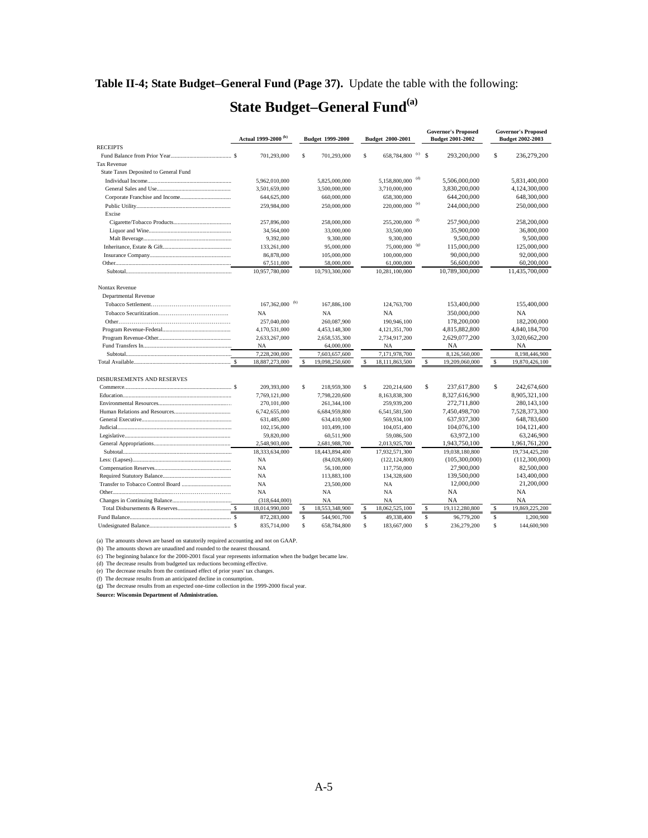### <span id="page-18-0"></span>**Table II-4; State Budget–General Fund (Page 37).** Update the table with the following:

# **State Budget–General Fund**<sup>(a)</sup>

|                                       |    | Actual 1999-2000 <sup>(b)</sup> |               | <b>Budget 1999-2000</b> | Budget 2000-2001                 |     |               | <b>Governor's Proposed</b><br><b>Budget 2001-2002</b> |             | <b>Governor's Proposed</b><br><b>Budget 2002-2003</b> |
|---------------------------------------|----|---------------------------------|---------------|-------------------------|----------------------------------|-----|---------------|-------------------------------------------------------|-------------|-------------------------------------------------------|
| <b>RECEIPTS</b>                       |    |                                 |               |                         |                                  |     |               |                                                       |             |                                                       |
|                                       |    | 701,293,000                     | $\mathbb S$   | 701,293,000             | \$<br>658,784,800 <sup>(c)</sup> |     | <sup>\$</sup> | 293,200,000                                           | $\mathbb S$ | 236,279,200                                           |
| <b>Tax Revenue</b>                    |    |                                 |               |                         |                                  |     |               |                                                       |             |                                                       |
| State Taxes Deposited to General Fund |    |                                 |               |                         |                                  |     |               |                                                       |             |                                                       |
|                                       |    | 5,962,010,000                   |               | 5,825,000,000           | 5,158,800,000 <sup>(d)</sup>     |     |               | 5,506,000,000                                         |             | 5,831,400,000                                         |
|                                       |    | 3,501,659,000                   |               | 3.500.000.000           | 3,710,000,000                    |     |               | 3,830,200,000                                         |             | 4,124,300,000                                         |
|                                       |    | 644,625,000                     |               | 660,000,000             | 658,300,000                      |     |               | 644,200,000                                           |             | 648,300,000                                           |
|                                       |    | 259,984,000                     |               | 250,000,000             | 220,000,000 <sup>(e)</sup>       |     |               | 244,000,000                                           |             | 250,000,000                                           |
| Excise                                |    |                                 |               |                         |                                  |     |               |                                                       |             |                                                       |
|                                       |    | 257,896,000                     |               | 258,000,000             | 255,200,000                      |     |               | 257,900,000                                           |             | 258,200,000                                           |
|                                       |    | 34,564,000                      |               | 33,000,000              | 33,500,000                       |     |               | 35,900,000                                            |             | 36,800,000                                            |
|                                       |    | 9,392,000                       |               | 9,300,000               | 9,300,000                        |     |               | 9,500,000                                             |             | 9,500,000                                             |
|                                       |    | 133,261,000                     |               | 95,000,000              | 75,000,000                       | (g) |               | 115,000,000                                           |             | 125,000,000                                           |
|                                       |    | 86,878,000                      |               | 105,000,000             | 100,000,000                      |     |               | 90,000,000                                            |             | 92,000,000                                            |
|                                       |    | 67,511,000                      |               | 58,000,000              | 61,000,000                       |     |               | 56,600,000                                            |             | 60,200,000                                            |
|                                       |    | 10,957,780,000                  |               | 10,793,300,000          | 10,281,100,000                   |     |               | 10,789,300,000                                        |             | 11,435,700,000                                        |
|                                       |    |                                 |               |                         |                                  |     |               |                                                       |             |                                                       |
| Nontax Revenue                        |    |                                 |               |                         |                                  |     |               |                                                       |             |                                                       |
| <b>Departmental Revenue</b>           |    |                                 |               |                         |                                  |     |               |                                                       |             |                                                       |
|                                       |    | $167,362,000$ <sup>(h)</sup>    |               | 167,886,100             | 124,763,700                      |     |               | 153,400,000                                           |             | 155,400,000                                           |
|                                       |    | <b>NA</b>                       |               | <b>NA</b>               | NA                               |     |               | 350,000,000                                           |             | <b>NA</b>                                             |
|                                       |    | 257,040,000                     |               | 260,087,900             | 190,946,100                      |     |               | 178,200,000                                           |             | 182,200,000                                           |
|                                       |    | 4,170,531,000                   |               | 4,453,148,300           | 4,121,351,700                    |     |               | 4,815,882,800                                         |             | 4,840,184,700                                         |
|                                       |    | 2,633,267,000                   |               | 2,658,535,300           | 2,734,917,200                    |     |               | 2,629,077,200                                         |             | 3,020,662,200                                         |
|                                       |    | <b>NA</b>                       |               | 64,000,000              | <b>NA</b>                        |     |               | NA                                                    |             | <b>NA</b>                                             |
|                                       |    | 7,228,200,000                   |               | 7,603,657,600           | 7,171,978,700                    |     |               | 8,126,560,000                                         |             | 8,198,446,900                                         |
|                                       |    | 18,887,273,000                  | <sup>\$</sup> | 19,098,250,600          | \$<br>18,111,863,500             |     | $\mathbb{S}$  | 19,209,060,000                                        | \$          | 19,870,426,100                                        |
| <b>DISBURSEMENTS AND RESERVES</b>     |    |                                 |               |                         |                                  |     |               |                                                       |             |                                                       |
|                                       |    | 209,393,000                     | s             | 218,959,300             | \$<br>220.214.600                |     | \$            | 237,617,800                                           | S           | 242,674,600                                           |
|                                       |    | 7,769,121,000                   |               | 7,798,220,600           | 8,163,838,300                    |     |               | 8,327,616,900                                         |             | 8,905,321,100                                         |
|                                       |    | 270, 101, 000                   |               | 261,344,100             | 259,939,200                      |     |               | 272,711,800                                           |             | 280,143,100                                           |
|                                       |    | 6,742,655,000                   |               | 6,684,959,800           | 6,541,581,500                    |     |               | 7,450,498,700                                         |             | 7,528,373,300                                         |
|                                       |    | 631,485,000                     |               | 634,410,900             | 569,934,100                      |     |               | 637,937,300                                           |             | 648,783,600                                           |
|                                       |    | 102,156,000                     |               | 103,499,100             | 104,051,400                      |     |               | 104,076,100                                           |             | 104, 121, 400                                         |
|                                       |    | 59,820,000                      |               | 60,511,900              | 59,086,500                       |     |               | 63,972,100                                            |             | 63,246,900                                            |
|                                       |    | 2,548,903,000                   |               | 2,681,988,700           | 2,013,925,700                    |     |               | 1,943,750,100                                         |             | 1,961,761,200                                         |
|                                       |    | 18,333,634,000                  |               | 18,443,894,400          | 17,932,571,300                   |     |               | 19,038,180,800                                        |             | 19,734,425,200                                        |
|                                       |    | <b>NA</b>                       |               | (84,028,600)            | (122, 124, 800)                  |     |               | (105,300,000)                                         |             | (112,300,000)                                         |
|                                       |    | NA                              |               | 56,100,000              | 117,750,000                      |     |               | 27,900,000                                            |             | 82,500,000                                            |
|                                       |    | <b>NA</b>                       |               | 113,883,100             | 134,328,600                      |     |               | 139,500,000                                           |             | 143,400,000                                           |
|                                       |    | <b>NA</b>                       |               | 23,500,000              | <b>NA</b>                        |     |               | 12,000,000                                            |             | 21,200,000                                            |
|                                       |    | <b>NA</b>                       |               | <b>NA</b>               | <b>NA</b>                        |     |               | <b>NA</b>                                             |             | <b>NA</b>                                             |
|                                       |    | (318, 644, 000)                 |               | NA                      | <b>NA</b>                        |     |               | NA                                                    |             | <b>NA</b>                                             |
|                                       |    | 18,014,990,000                  |               | 18,553,348,900          | 18,062,525,100                   |     | S             | 19,112,280,800                                        | \$          | 19,869,225,200                                        |
|                                       |    | 872,283,000                     | \$            | 544,901,700             | \$<br>49,338,400                 |     | S             | 96,779,200                                            | \$          | 1,200,900                                             |
|                                       | -S | 835,714,000                     | \$            | 658,784,800             | \$<br>183,667,000                |     | \$            | 236,279,200                                           | \$          | 144,600,900                                           |

(a) The amounts shown are based on statutorily required accounting and not on GAAP.

(b) The amounts shown are unaudited and rounded to the nearest thousand. (c) The beginning balance for the 2000-2001 fiscal year represents information when the budget became law.

(d) The decrease results from budgeted tax reductions becoming effective. (e) The decrease results from the continued effect of prior years' tax changes.

(f) The decrease results from an anticipated decline in consumption. (g) The decrease results from an expected one-time collection in the 1999-2000 fiscal year.

**Source: Wisconsin Department of Administration.**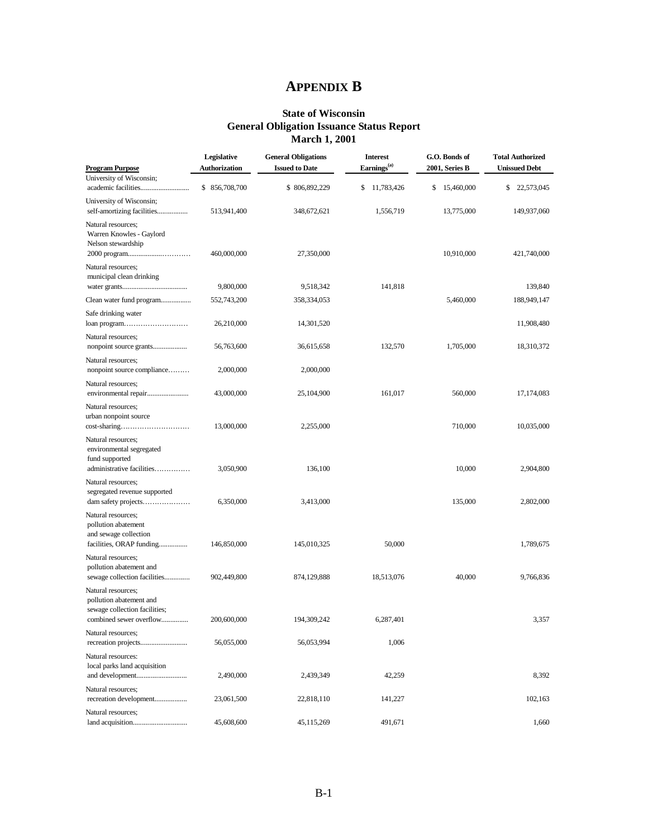# **APPENDIX B**

#### **State of Wisconsin General Obligation Issuance Status Report March 1, 2001**

<span id="page-19-0"></span>

|                                                                                                           | Legislative          | <b>General Obligations</b> | <b>Interest</b>         | G.O. Bonds of   | <b>Total Authorized</b> |
|-----------------------------------------------------------------------------------------------------------|----------------------|----------------------------|-------------------------|-----------------|-------------------------|
| <b>Program Purpose</b>                                                                                    | <b>Authorization</b> | <b>Issued to Date</b>      | Earnings <sup>(a)</sup> | 2001, Series B  | <b>Unissued Debt</b>    |
| University of Wisconsin;                                                                                  | \$ 856,708,700       | \$806,892,229              | \$<br>11,783,426        | 15,460,000<br>s | \$<br>22,573,045        |
| University of Wisconsin;<br>self-amortizing facilities                                                    | 513,941,400          | 348,672,621                | 1,556,719               | 13,775,000      | 149,937,060             |
| Natural resources;<br>Warren Knowles - Gaylord<br>Nelson stewardship                                      | 460,000,000          | 27,350,000                 |                         | 10,910,000      | 421,740,000             |
| Natural resources;<br>municipal clean drinking                                                            | 9,800,000            | 9,518,342                  | 141,818                 |                 | 139,840                 |
| Clean water fund program                                                                                  | 552,743,200          | 358,334,053                |                         | 5,460,000       | 188,949,147             |
|                                                                                                           |                      |                            |                         |                 |                         |
| Safe drinking water<br>loan program                                                                       | 26,210,000           | 14,301,520                 |                         |                 | 11,908,480              |
| Natural resources;                                                                                        | 56,763,600           | 36,615,658                 | 132,570                 | 1,705,000       | 18,310,372              |
| Natural resources;<br>nonpoint source compliance                                                          | 2,000,000            | 2,000,000                  |                         |                 |                         |
| Natural resources;                                                                                        | 43,000,000           | 25,104,900                 | 161,017                 | 560,000         | 17, 174, 083            |
| Natural resources;<br>urban nonpoint source                                                               | 13,000,000           | 2,255,000                  |                         | 710,000         | 10,035,000              |
| Natural resources;<br>environmental segregated<br>fund supported<br>administrative facilities             | 3,050,900            | 136,100                    |                         | 10,000          | 2,904,800               |
| Natural resources;<br>segregated revenue supported<br>dam safety projects                                 | 6,350,000            | 3,413,000                  |                         | 135,000         | 2,802,000               |
| Natural resources;<br>pollution abatement<br>and sewage collection<br>facilities, ORAP funding            | 146,850,000          | 145,010,325                | 50,000                  |                 | 1,789,675               |
| Natural resources;<br>pollution abatement and<br>sewage collection facilities                             | 902,449,800          | 874,129,888                | 18,513,076              | 40,000          | 9,766,836               |
| Natural resources:<br>pollution abatement and<br>sewage collection facilities;<br>combined sewer overflow | 200,600,000          | 194,309,242                | 6,287,401               |                 | 3,357                   |
| Natural resources;                                                                                        | 56,055,000           | 56,053,994                 | 1,006                   |                 |                         |
| Natural resources:<br>local parks land acquisition                                                        | 2,490,000            | 2,439,349                  | 42,259                  |                 | 8,392                   |
| Natural resources;<br>recreation development                                                              | 23,061,500           | 22,818,110                 | 141,227                 |                 | 102,163                 |
| Natural resources;                                                                                        | 45,608,600           | 45,115,269                 | 491,671                 |                 | 1,660                   |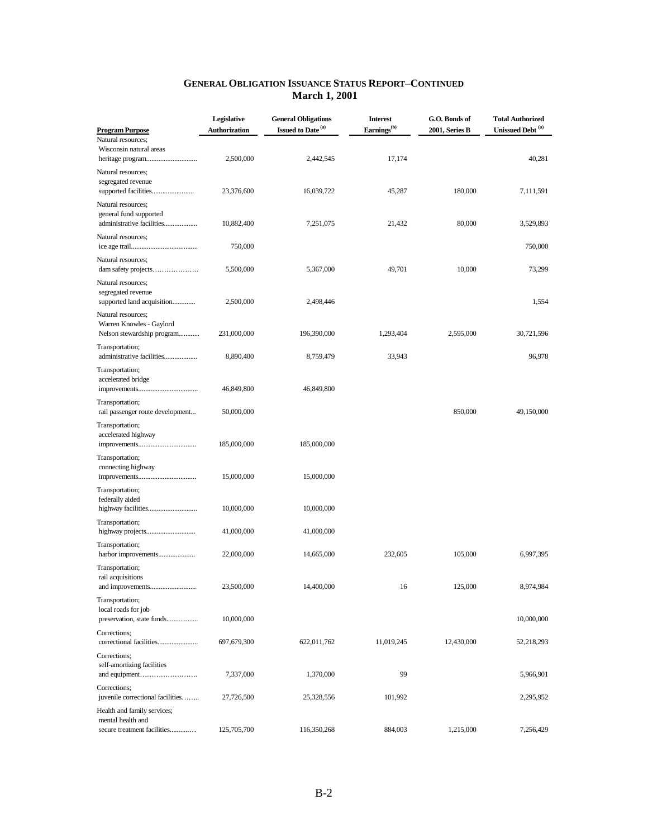| <b>Program Purpose</b>                                                          | Legislative<br>Authorization | <b>General Obligations</b><br>Issued to Date <sup>(a)</sup> | <b>Interest</b><br>Earnings <sup>(b)</sup> | G.O. Bonds of<br>2001, Series B | <b>Total Authorized</b><br>Unissued Debt <sup>(a)</sup> |
|---------------------------------------------------------------------------------|------------------------------|-------------------------------------------------------------|--------------------------------------------|---------------------------------|---------------------------------------------------------|
| Natural resources:<br>Wisconsin natural areas                                   | 2,500,000                    | 2,442,545                                                   | 17,174                                     |                                 | 40,281                                                  |
| Natural resources;<br>segregated revenue<br>supported facilities                | 23,376,600                   | 16,039,722                                                  | 45,287                                     | 180,000                         | 7,111,591                                               |
| Natural resources;<br>general fund supported<br>administrative facilities       | 10,882,400                   | 7,251,075                                                   | 21,432                                     | 80,000                          | 3,529,893                                               |
| Natural resources;                                                              | 750,000                      |                                                             |                                            |                                 | 750,000                                                 |
| Natural resources;<br>dam safety projects                                       | 5,500,000                    | 5,367,000                                                   | 49,701                                     | 10,000                          | 73,299                                                  |
| Natural resources;<br>segregated revenue<br>supported land acquisition          | 2,500,000                    | 2,498,446                                                   |                                            |                                 | 1,554                                                   |
| Natural resources;<br>Warren Knowles - Gaylord<br>Nelson stewardship program    | 231,000,000                  | 196,390,000                                                 | 1,293,404                                  | 2,595,000                       | 30,721,596                                              |
| Transportation;<br>administrative facilities                                    | 8,890,400                    | 8,759,479                                                   | 33,943                                     |                                 | 96,978                                                  |
| Transportation;<br>accelerated bridge                                           | 46,849,800                   | 46,849,800                                                  |                                            |                                 |                                                         |
| Transportation;<br>rail passenger route development                             | 50,000,000                   |                                                             |                                            | 850,000                         | 49,150,000                                              |
| Transportation;<br>accelerated highway                                          | 185,000,000                  | 185,000,000                                                 |                                            |                                 |                                                         |
| Transportation;<br>connecting highway                                           | 15,000,000                   | 15,000,000                                                  |                                            |                                 |                                                         |
| Transportation;<br>federally aided                                              | 10,000,000                   | 10,000,000                                                  |                                            |                                 |                                                         |
| Transportation;                                                                 | 41,000,000                   | 41,000,000                                                  |                                            |                                 |                                                         |
| Transportation;                                                                 | 22,000,000                   | 14,665,000                                                  | 232,605                                    | 105,000                         | 6,997,395                                               |
| Transportation;<br>rail acquisitions                                            | 23,500,000                   | 14,400,000                                                  | 16                                         | 125,000                         | 8,974,984                                               |
| Transportation;<br>local roads for job<br>preservation, state funds             | 10,000,000                   |                                                             |                                            |                                 | 10,000,000                                              |
| Corrections;<br>correctional facilities                                         | 697,679,300                  | 622,011,762                                                 | 11,019,245                                 | 12,430,000                      | 52,218,293                                              |
| Corrections;<br>self-amortizing facilities                                      | 7,337,000                    | 1,370,000                                                   | 99                                         |                                 | 5,966,901                                               |
| Corrections;<br>juvenile correctional facilities                                | 27,726,500                   | 25,328,556                                                  | 101,992                                    |                                 | 2,295,952                                               |
| Health and family services;<br>mental health and<br>secure treatment facilities | 125,705,700                  | 116,350,268                                                 | 884,003                                    | 1,215,000                       | 7,256,429                                               |

#### **GENERAL OBLIGATION ISSUANCE STATUS REPORT–CONTINUED March 1, 2001**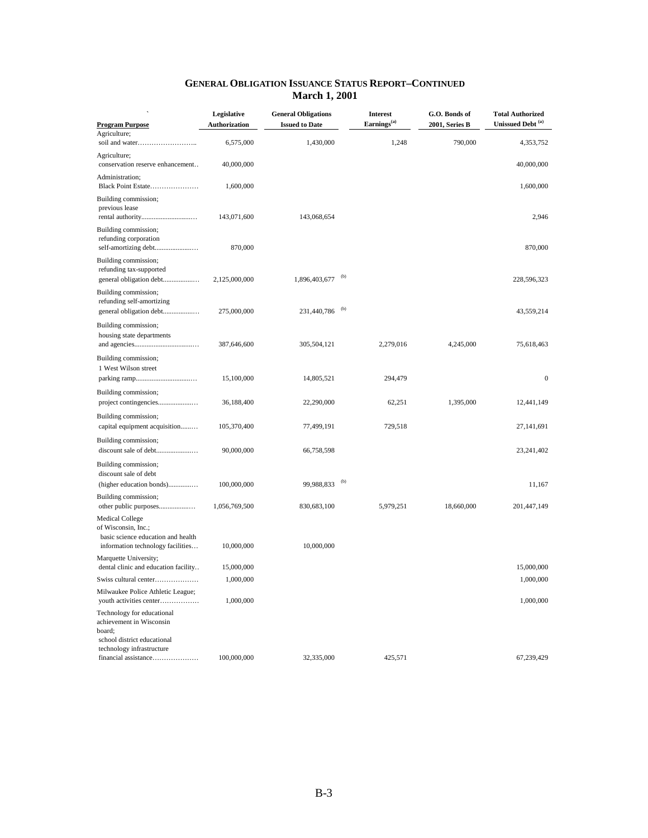| <b>Program Purpose</b>                                                                                                   | Legislative<br>Authorization | <b>General Obligations</b><br><b>Issued to Date</b> |     | <b>Interest</b><br>Earnings <sup>(a)</sup> | G.O. Bonds of<br>2001, Series B | <b>Total Authorized</b><br>Unissued Debt <sup>(a)</sup> |  |
|--------------------------------------------------------------------------------------------------------------------------|------------------------------|-----------------------------------------------------|-----|--------------------------------------------|---------------------------------|---------------------------------------------------------|--|
| Agriculture;                                                                                                             | 6,575,000                    | 1,430,000                                           |     | 1,248                                      | 790,000                         | 4,353,752                                               |  |
| Agriculture;<br>conservation reserve enhancement                                                                         | 40,000,000                   |                                                     |     |                                            |                                 | 40,000,000                                              |  |
| Administration;<br>Black Point Estate                                                                                    | 1,600,000                    |                                                     |     |                                            |                                 | 1,600,000                                               |  |
| Building commission;<br>previous lease                                                                                   | 143,071,600                  | 143,068,654                                         |     |                                            |                                 | 2,946                                                   |  |
| Building commission;<br>refunding corporation<br>self-amortizing debt                                                    | 870,000                      |                                                     |     |                                            |                                 | 870,000                                                 |  |
| Building commission;<br>refunding tax-supported<br>general obligation debt                                               | 2,125,000,000                | 1,896,403,677                                       | (b) |                                            |                                 | 228,596,323                                             |  |
| Building commission;<br>refunding self-amortizing<br>general obligation debt                                             | 275,000,000                  | 231,440,786                                         | (b) |                                            |                                 | 43,559,214                                              |  |
| Building commission;<br>housing state departments                                                                        | 387,646,600                  | 305,504,121                                         |     | 2,279,016                                  | 4,245,000                       | 75,618,463                                              |  |
| Building commission;<br>1 West Wilson street                                                                             | 15,100,000                   | 14,805,521                                          |     | 294,479                                    |                                 | $\boldsymbol{0}$                                        |  |
| Building commission;                                                                                                     | 36,188,400                   | 22,290,000                                          |     | 62,251                                     | 1,395,000                       | 12,441,149                                              |  |
| Building commission;<br>capital equipment acquisition                                                                    | 105,370,400                  | 77,499,191                                          |     | 729,518                                    |                                 | 27,141,691                                              |  |
| Building commission;                                                                                                     | 90,000,000                   | 66,758,598                                          |     |                                            |                                 | 23,241,402                                              |  |
| Building commission;<br>discount sale of debt                                                                            |                              |                                                     |     |                                            |                                 |                                                         |  |
| (higher education bonds)                                                                                                 | 100,000,000                  | 99,988,833                                          | (b) |                                            |                                 | 11,167                                                  |  |
| Building commission;<br>other public purposes                                                                            | 1,056,769,500                | 830,683,100                                         |     | 5,979,251                                  | 18,660,000                      | 201,447,149                                             |  |
| <b>Medical College</b><br>of Wisconsin, Inc.;<br>basic science education and health<br>information technology facilities | 10,000,000                   | 10,000,000                                          |     |                                            |                                 |                                                         |  |
| Marquette University;                                                                                                    |                              |                                                     |     |                                            |                                 |                                                         |  |
| dental clinic and education facility<br>Swiss cultural center                                                            | 15,000,000<br>1,000,000      |                                                     |     |                                            |                                 | 15,000,000<br>1,000,000                                 |  |
| Milwaukee Police Athletic League;<br>youth activities center                                                             | 1,000,000                    |                                                     |     |                                            |                                 | 1,000,000                                               |  |
| Technology for educational<br>achievement in Wisconsin<br>board;<br>school district educational                          |                              |                                                     |     |                                            |                                 |                                                         |  |
| technology infrastructure<br>financial assistance                                                                        | 100,000,000                  | 32,335,000                                          |     | 425,571                                    |                                 | 67,239,429                                              |  |

#### **GENERAL OBLIGATION ISSUANCE STATUS REPORT–CONTINUED March 1, 2001**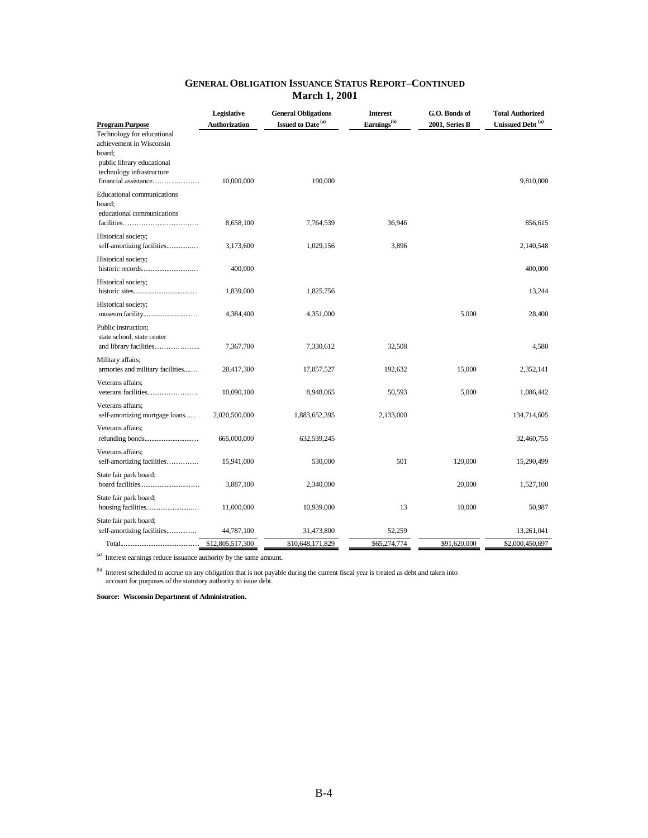| Technology for educational<br>achievement in Wisconsin<br>board;<br>public library educational<br>technology infrastructure<br>financial assistance<br>10,000,000<br>190,000<br><b>Educational communications</b><br>board;<br>educational communications<br>8,658,100<br>36,946<br>7,764,539<br>Historical society;<br>3,896<br>self-amortizing facilities<br>1,029,156<br>3,173,600<br>Historical society;<br>400,000<br>Historical society;<br>1,839,000<br>1,825,756<br>Historical society;<br>5,000<br>4,384,400<br>4,351,000<br>Public instruction;<br>state school, state center<br>and library facilities<br>32,508<br>7,367,700<br>7,330,612<br>Military affairs;<br>armories and military facilities<br>15,000<br>20,417,300<br>192,632<br>17,857,527<br>Veterans affairs;<br>5,000<br>10,090,100<br>8,948,065<br>50,593<br>Veterans affairs;<br>self-amortizing mortgage loans<br>2,020,500,000<br>1,883,652,395<br>2,133,000<br>Veterans affairs;<br>665,000,000<br>632,539,245<br>Veterans affairs;<br>501<br>120,000<br>self-amortizing facilities<br>15,941,000<br>530,000<br>State fair park board;<br>20,000<br>3,887,100<br>2,340,000<br>State fair park board;<br>13<br>10,000<br>11,000,000<br>10,939,000 | <b>Program Purpose</b> | Legislative<br>Authorization | <b>General Obligations</b><br>Issued to Date <sup>(a)</sup> | <b>Interest</b><br>Earnings <sup>(b)</sup> | G.O. Bonds of<br>2001, Series B | <b>Total Authorized</b><br>Unissued Debt <sup>(a)</sup> |
|-------------------------------------------------------------------------------------------------------------------------------------------------------------------------------------------------------------------------------------------------------------------------------------------------------------------------------------------------------------------------------------------------------------------------------------------------------------------------------------------------------------------------------------------------------------------------------------------------------------------------------------------------------------------------------------------------------------------------------------------------------------------------------------------------------------------------------------------------------------------------------------------------------------------------------------------------------------------------------------------------------------------------------------------------------------------------------------------------------------------------------------------------------------------------------------------------------------------------------|------------------------|------------------------------|-------------------------------------------------------------|--------------------------------------------|---------------------------------|---------------------------------------------------------|
|                                                                                                                                                                                                                                                                                                                                                                                                                                                                                                                                                                                                                                                                                                                                                                                                                                                                                                                                                                                                                                                                                                                                                                                                                               |                        |                              |                                                             |                                            |                                 | 9,810,000                                               |
|                                                                                                                                                                                                                                                                                                                                                                                                                                                                                                                                                                                                                                                                                                                                                                                                                                                                                                                                                                                                                                                                                                                                                                                                                               |                        |                              |                                                             |                                            |                                 | 856,615                                                 |
|                                                                                                                                                                                                                                                                                                                                                                                                                                                                                                                                                                                                                                                                                                                                                                                                                                                                                                                                                                                                                                                                                                                                                                                                                               |                        |                              |                                                             |                                            |                                 | 2,140,548                                               |
|                                                                                                                                                                                                                                                                                                                                                                                                                                                                                                                                                                                                                                                                                                                                                                                                                                                                                                                                                                                                                                                                                                                                                                                                                               |                        |                              |                                                             |                                            |                                 | 400,000                                                 |
|                                                                                                                                                                                                                                                                                                                                                                                                                                                                                                                                                                                                                                                                                                                                                                                                                                                                                                                                                                                                                                                                                                                                                                                                                               |                        |                              |                                                             |                                            |                                 | 13,244                                                  |
|                                                                                                                                                                                                                                                                                                                                                                                                                                                                                                                                                                                                                                                                                                                                                                                                                                                                                                                                                                                                                                                                                                                                                                                                                               |                        |                              |                                                             |                                            |                                 | 28,400                                                  |
|                                                                                                                                                                                                                                                                                                                                                                                                                                                                                                                                                                                                                                                                                                                                                                                                                                                                                                                                                                                                                                                                                                                                                                                                                               |                        |                              |                                                             |                                            |                                 | 4,580                                                   |
|                                                                                                                                                                                                                                                                                                                                                                                                                                                                                                                                                                                                                                                                                                                                                                                                                                                                                                                                                                                                                                                                                                                                                                                                                               |                        |                              |                                                             |                                            |                                 | 2,352,141                                               |
|                                                                                                                                                                                                                                                                                                                                                                                                                                                                                                                                                                                                                                                                                                                                                                                                                                                                                                                                                                                                                                                                                                                                                                                                                               |                        |                              |                                                             |                                            |                                 | 1,086,442                                               |
|                                                                                                                                                                                                                                                                                                                                                                                                                                                                                                                                                                                                                                                                                                                                                                                                                                                                                                                                                                                                                                                                                                                                                                                                                               |                        |                              |                                                             |                                            |                                 | 134,714,605                                             |
|                                                                                                                                                                                                                                                                                                                                                                                                                                                                                                                                                                                                                                                                                                                                                                                                                                                                                                                                                                                                                                                                                                                                                                                                                               |                        |                              |                                                             |                                            |                                 | 32,460,755                                              |
|                                                                                                                                                                                                                                                                                                                                                                                                                                                                                                                                                                                                                                                                                                                                                                                                                                                                                                                                                                                                                                                                                                                                                                                                                               |                        |                              |                                                             |                                            |                                 | 15,290,499                                              |
|                                                                                                                                                                                                                                                                                                                                                                                                                                                                                                                                                                                                                                                                                                                                                                                                                                                                                                                                                                                                                                                                                                                                                                                                                               |                        |                              |                                                             |                                            |                                 | 1,527,100                                               |
|                                                                                                                                                                                                                                                                                                                                                                                                                                                                                                                                                                                                                                                                                                                                                                                                                                                                                                                                                                                                                                                                                                                                                                                                                               |                        |                              |                                                             |                                            |                                 | 50,987                                                  |
| self-amortizing facilities<br>44,787,100<br>31,473,800<br>52,259                                                                                                                                                                                                                                                                                                                                                                                                                                                                                                                                                                                                                                                                                                                                                                                                                                                                                                                                                                                                                                                                                                                                                              | State fair park board; |                              |                                                             |                                            |                                 | 13,261,041                                              |
| \$12,805,517,300<br>\$10,648,171,829<br>\$65,274,774<br>\$91,620,000                                                                                                                                                                                                                                                                                                                                                                                                                                                                                                                                                                                                                                                                                                                                                                                                                                                                                                                                                                                                                                                                                                                                                          |                        |                              |                                                             |                                            |                                 | \$2,000,450,697                                         |

#### **GENERAL OBLIGATION ISSUANCE STATUS REPORT–CONTINUED March 1, 2001**

(a) Interest earnings reduce issuance authority by the same amount.

(b) Interest scheduled to accrue on any obligation that is not payable during the current fiscal year is treated as debt and taken into account for purposes of the statutory authority to issue debt.

**Source: Wisconsin Department of Administration.**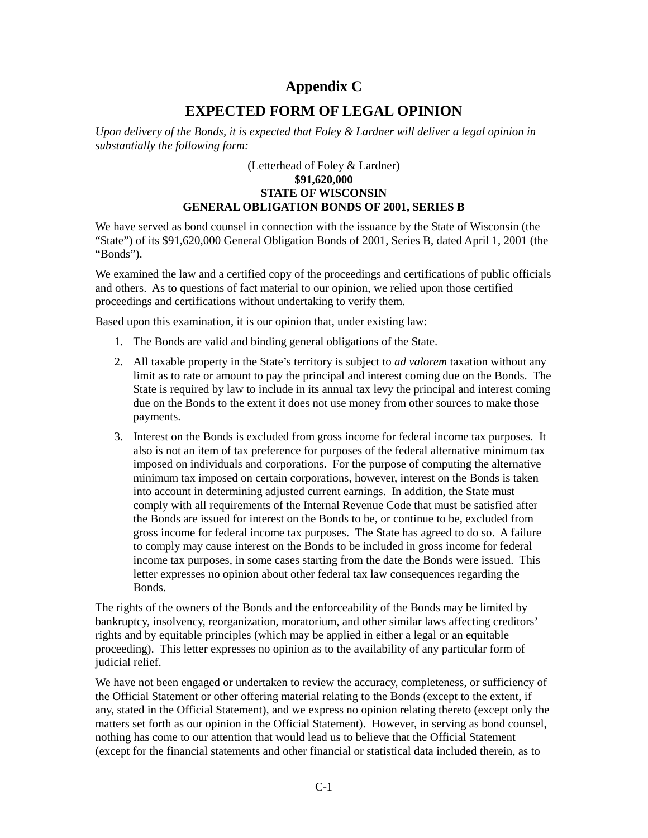# **Appendix C**

# **EXPECTED FORM OF LEGAL OPINION**

<span id="page-23-0"></span>*Upon delivery of the Bonds, it is expected that Foley & Lardner will deliver a legal opinion in substantially the following form:*

#### (Letterhead of Foley & Lardner) **\$91,620,000 STATE OF WISCONSIN GENERAL OBLIGATION BONDS OF 2001, SERIES B**

We have served as bond counsel in connection with the issuance by the State of Wisconsin (the "State") of its \$91,620,000 General Obligation Bonds of 2001, Series B, dated April 1, 2001 (the "Bonds").

We examined the law and a certified copy of the proceedings and certifications of public officials and others. As to questions of fact material to our opinion, we relied upon those certified proceedings and certifications without undertaking to verify them.

Based upon this examination, it is our opinion that, under existing law:

- 1. The Bonds are valid and binding general obligations of the State.
- 2. All taxable property in the State's territory is subject to *ad valorem* taxation without any limit as to rate or amount to pay the principal and interest coming due on the Bonds. The State is required by law to include in its annual tax levy the principal and interest coming due on the Bonds to the extent it does not use money from other sources to make those payments.
- 3. Interest on the Bonds is excluded from gross income for federal income tax purposes. It also is not an item of tax preference for purposes of the federal alternative minimum tax imposed on individuals and corporations. For the purpose of computing the alternative minimum tax imposed on certain corporations, however, interest on the Bonds is taken into account in determining adjusted current earnings. In addition, the State must comply with all requirements of the Internal Revenue Code that must be satisfied after the Bonds are issued for interest on the Bonds to be, or continue to be, excluded from gross income for federal income tax purposes. The State has agreed to do so. A failure to comply may cause interest on the Bonds to be included in gross income for federal income tax purposes, in some cases starting from the date the Bonds were issued. This letter expresses no opinion about other federal tax law consequences regarding the Bonds.

The rights of the owners of the Bonds and the enforceability of the Bonds may be limited by bankruptcy, insolvency, reorganization, moratorium, and other similar laws affecting creditors' rights and by equitable principles (which may be applied in either a legal or an equitable proceeding). This letter expresses no opinion as to the availability of any particular form of judicial relief.

We have not been engaged or undertaken to review the accuracy, completeness, or sufficiency of the Official Statement or other offering material relating to the Bonds (except to the extent, if any, stated in the Official Statement), and we express no opinion relating thereto (except only the matters set forth as our opinion in the Official Statement). However, in serving as bond counsel, nothing has come to our attention that would lead us to believe that the Official Statement (except for the financial statements and other financial or statistical data included therein, as to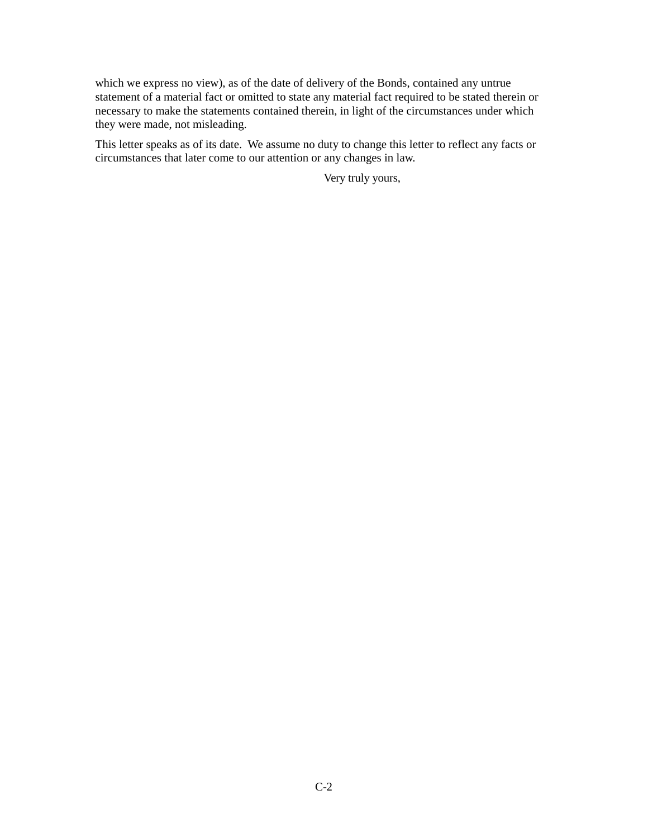which we express no view), as of the date of delivery of the Bonds, contained any untrue statement of a material fact or omitted to state any material fact required to be stated therein or necessary to make the statements contained therein, in light of the circumstances under which they were made, not misleading.

This letter speaks as of its date. We assume no duty to change this letter to reflect any facts or circumstances that later come to our attention or any changes in law.

Very truly yours,